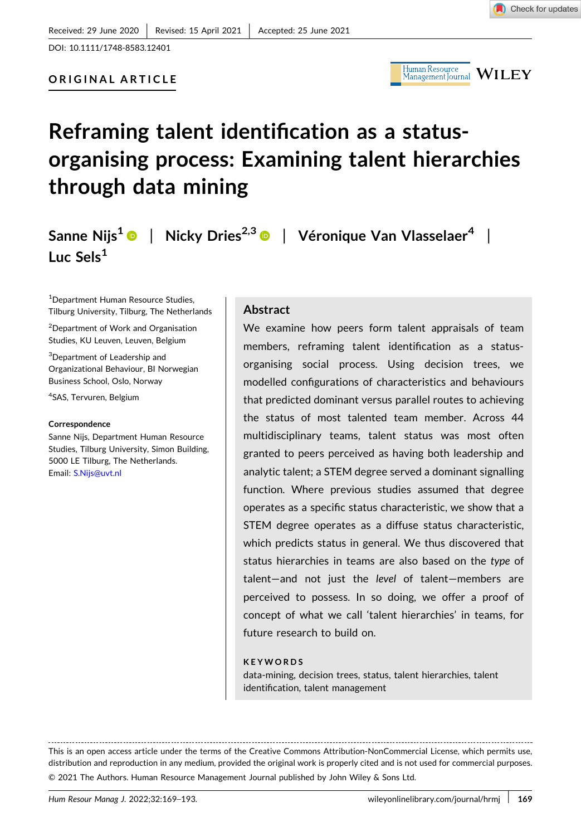DOI: [10.1111/1748-8583.12401](https://doi.org/10.1111/1748-8583.12401)



# **Reframing talent identification as a status‐ organising process: Examining talent hierarchies through data mining**

**Sanne Nijs1** | **Nicky Dries2,3** | **Véronique Van Vlasselaer4** | **Luc Sels1**

1 Department Human Resource Studies, Tilburg University, Tilburg, The Netherlands

<sup>2</sup>Department of Work and Organisation Studies, KU Leuven, Leuven, Belgium

3 Department of Leadership and Organizational Behaviour, BI Norwegian Business School, Oslo, Norway

4 SAS, Tervuren, Belgium

#### **Correspondence**

Sanne Nijs, Department Human Resource Studies, Tilburg University, Simon Building, 5000 LE Tilburg, The Netherlands. Email: [S.Nijs@uvt.nl](mailto:S.Nijs@uvt.nl)

#### **Abstract**

We examine how peers form talent appraisals of team members, reframing talent identification as a status‐ organising social process. Using decision trees, we modelled configurations of characteristics and behaviours that predicted dominant versus parallel routes to achieving the status of most talented team member. Across 44 multidisciplinary teams, talent status was most often granted to peers perceived as having both leadership and analytic talent; a STEM degree served a dominant signalling function. Where previous studies assumed that degree operates as a specific status characteristic, we show that a STEM degree operates as a diffuse status characteristic, which predicts status in general. We thus discovered that status hierarchies in teams are also based on the *type* of talent—and not just the *level* of talent—members are perceived to possess. In so doing, we offer a proof of concept of what we call 'talent hierarchies' in teams, for future research to build on.

#### **KEYWORDS**

data‐mining, decision trees, status, talent hierarchies, talent identification, talent management

This is an open access article under the terms of the Creative Commons Attribution‐NonCommercial License, which permits use, distribution and reproduction in any medium, provided the original work is properly cited and is not used for commercial purposes. © 2021 The Authors. Human Resource Management Journal published by John Wiley & Sons Ltd.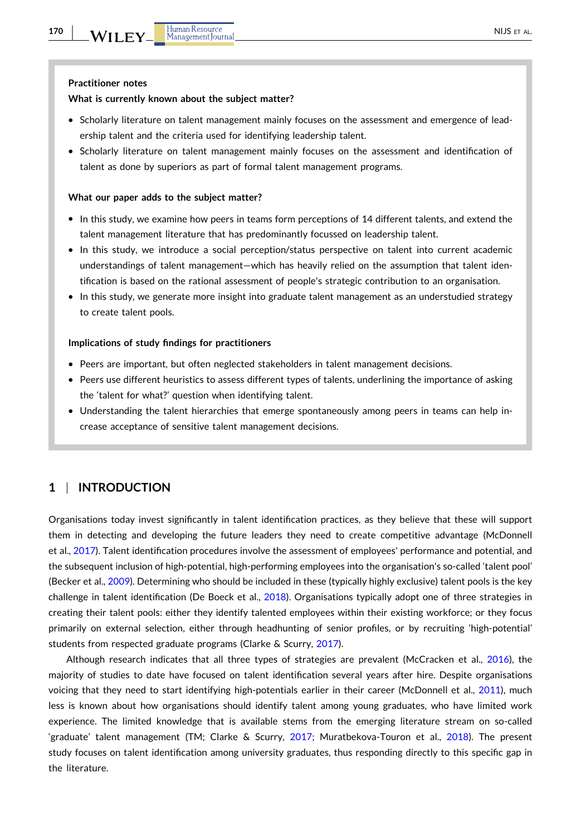#### **What is currently known about the subject matter?**

- � Scholarly literature on talent management mainly focuses on the assessment and emergence of leadership talent and the criteria used for identifying leadership talent.
- � Scholarly literature on talent management mainly focuses on the assessment and identification of talent as done by superiors as part of formal talent management programs.

#### **What our paper adds to the subject matter?**

- � In this study, we examine how peers in teams form perceptions of 14 different talents, and extend the talent management literature that has predominantly focussed on leadership talent.
- � In this study, we introduce a social perception/status perspective on talent into current academic understandings of talent management—which has heavily relied on the assumption that talent identification is based on the rational assessment of people's strategic contribution to an organisation.
- � In this study, we generate more insight into graduate talent management as an understudied strategy to create talent pools.

#### **Implications of study findings for practitioners**

- � Peers are important, but often neglected stakeholders in talent management decisions.
- � Peers use different heuristics to assess different types of talents, underlining the importance of asking the 'talent for what?' question when identifying talent.
- � Understanding the talent hierarchies that emerge spontaneously among peers in teams can help increase acceptance of sensitive talent management decisions.

# **1** <sup>|</sup> **INTRODUCTION**

Organisations today invest significantly in talent identification practices, as they believe that these will support them in detecting and developing the future leaders they need to create competitive advantage (McDonnell et al., [2017\)](#page-23-0). Talent identification procedures involve the assessment of employees' performance and potential, and the subsequent inclusion of high-potential, high-performing employees into the organisation's so-called 'talent pool' (Becker et al., [2009](#page-22-0)). Determining who should be included in these (typically highly exclusive) talent pools is the key challenge in talent identification (De Boeck et al., [2018\)](#page-22-0). Organisations typically adopt one of three strategies in creating their talent pools: either they identify talented employees within their existing workforce; or they focus primarily on external selection, either through headhunting of senior profiles, or by recruiting 'high‐potential' students from respected graduate programs (Clarke & Scurry, [2017\)](#page-22-0).

Although research indicates that all three types of strategies are prevalent (McCracken et al., [2016\)](#page-23-0), the majority of studies to date have focused on talent identification several years after hire. Despite organisations voicing that they need to start identifying high-potentials earlier in their career (McDonnell et al., [2011\)](#page-24-0), much less is known about how organisations should identify talent among young graduates, who have limited work experience. The limited knowledge that is available stems from the emerging literature stream on so‐called 'graduate' talent management (TM; Clarke & Scurry, [2017](#page-22-0); Muratbekova‐Touron et al., [2018](#page-24-0)). The present study focuses on talent identification among university graduates, thus responding directly to this specific gap in the literature.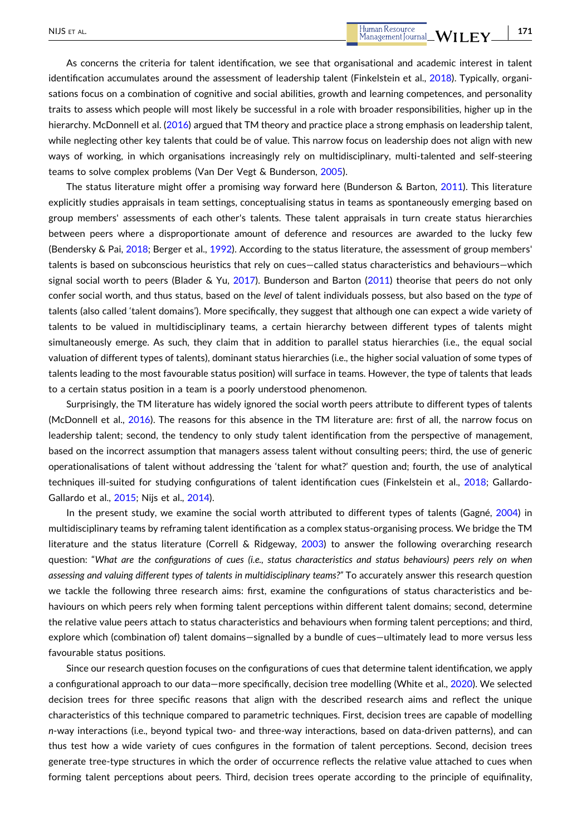As concerns the criteria for talent identification, we see that organisational and academic interest in talent identification accumulates around the assessment of leadership talent (Finkelstein et al., [2018\)](#page-23-0). Typically, organisations focus on a combination of cognitive and social abilities, growth and learning competences, and personality traits to assess which people will most likely be successful in a role with broader responsibilities, higher up in the hierarchy. McDonnell et al. ([2016](#page-23-0)) argued that TM theory and practice place a strong emphasis on leadership talent, while neglecting other key talents that could be of value. This narrow focus on leadership does not align with new ways of working, in which organisations increasingly rely on multidisciplinary, multi-talented and self-steering teams to solve complex problems (Van Der Vegt & Bunderson, [2005\)](#page-24-0).

The status literature might offer a promising way forward here (Bunderson & Barton, [2011](#page-22-0)). This literature explicitly studies appraisals in team settings, conceptualising status in teams as spontaneously emerging based on group members' assessments of each other's talents. These talent appraisals in turn create status hierarchies between peers where a disproportionate amount of deference and resources are awarded to the lucky few (Bendersky & Pai, [2018;](#page-22-0) Berger et al., [1992](#page-22-0)). According to the status literature, the assessment of group members' talents is based on subconscious heuristics that rely on cues—called status characteristics and behaviours—which signal social worth to peers (Blader & Yu, [2017](#page-22-0)). Bunderson and Barton ([2011](#page-22-0)) theorise that peers do not only confer social worth, and thus status, based on the *level* of talent individuals possess, but also based on the *type* of talents (also called 'talent domains'). More specifically, they suggest that although one can expect a wide variety of talents to be valued in multidisciplinary teams, a certain hierarchy between different types of talents might simultaneously emerge. As such, they claim that in addition to parallel status hierarchies (i.e., the equal social valuation of different types of talents), dominant status hierarchies (i.e., the higher social valuation of some types of talents leading to the most favourable status position) will surface in teams. However, the type of talents that leads to a certain status position in a team is a poorly understood phenomenon.

Surprisingly, the TM literature has widely ignored the social worth peers attribute to different types of talents (McDonnell et al., [2016](#page-23-0)). The reasons for this absence in the TM literature are: first of all, the narrow focus on leadership talent; second, the tendency to only study talent identification from the perspective of management, based on the incorrect assumption that managers assess talent without consulting peers; third, the use of generic operationalisations of talent without addressing the 'talent for what?' question and; fourth, the use of analytical techniques ill-suited for studying configurations of talent identification cues (Finkelstein et al., [2018;](#page-23-0) Gallardo-Gallardo et al., [2015;](#page-23-0) Nijs et al., [2014\)](#page-24-0).

In the present study, we examine the social worth attributed to different types of talents (Gagné, [2004](#page-23-0)) in multidisciplinary teams by reframing talent identification as a complex status‐organising process. We bridge the TM literature and the status literature (Correll & Ridgeway, [2003](#page-22-0)) to answer the following overarching research question: "What are the configurations of cues (i.e., status characteristics and status behaviours) peers rely on when *assessing and valuing different types of talents in multidisciplinary teams?"* To accurately answer this research question we tackle the following three research aims: first, examine the configurations of status characteristics and behaviours on which peers rely when forming talent perceptions within different talent domains; second, determine the relative value peers attach to status characteristics and behaviours when forming talent perceptions; and third, explore which (combination of) talent domains—signalled by a bundle of cues—ultimately lead to more versus less favourable status positions.

Since our research question focuses on the configurations of cues that determine talent identification, we apply a configurational approach to our data—more specifically, decision tree modelling (White et al., [2020](#page-24-0)). We selected decision trees for three specific reasons that align with the described research aims and reflect the unique characteristics of this technique compared to parametric techniques. First, decision trees are capable of modelling *n*‐way interactions (i.e., beyond typical two‐ and three‐way interactions, based on data‐driven patterns), and can thus test how a wide variety of cues configures in the formation of talent perceptions. Second, decision trees generate tree‐type structures in which the order of occurrence reflects the relative value attached to cues when forming talent perceptions about peers. Third, decision trees operate according to the principle of equifinality,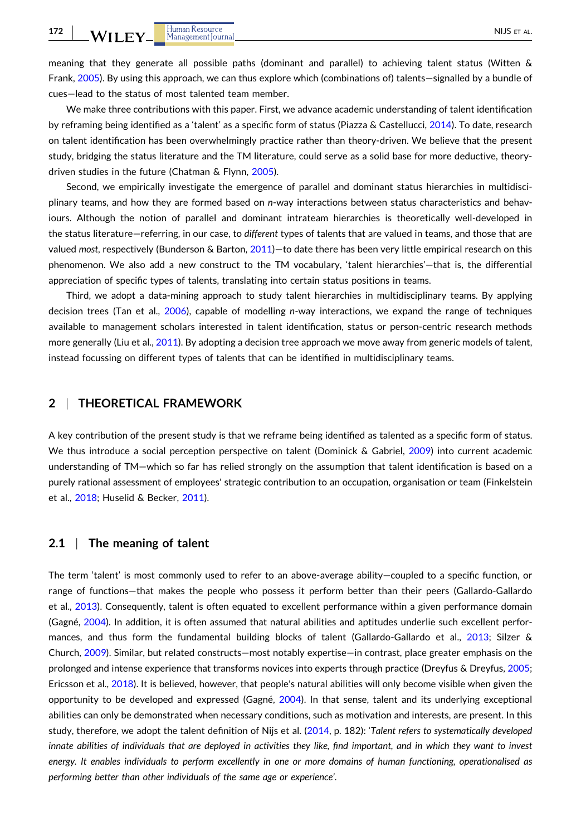meaning that they generate all possible paths (dominant and parallel) to achieving talent status (Witten & Frank, [2005](#page-24-0)). By using this approach, we can thus explore which (combinations of) talents—signalled by a bundle of cues—lead to the status of most talented team member.

We make three contributions with this paper. First, we advance academic understanding of talent identification by reframing being identified as a 'talent' as a specific form of status (Piazza & Castellucci, [2014\)](#page-24-0). To date, research on talent identification has been overwhelmingly practice rather than theory‐driven. We believe that the present study, bridging the status literature and the TM literature, could serve as a solid base for more deductive, theorydriven studies in the future (Chatman & Flynn, [2005\)](#page-22-0).

Second, we empirically investigate the emergence of parallel and dominant status hierarchies in multidisciplinary teams, and how they are formed based on *n*‐way interactions between status characteristics and behaviours. Although the notion of parallel and dominant intrateam hierarchies is theoretically well‐developed in the status literature—referring, in our case, to *different* types of talents that are valued in teams, and those that are valued *most*, respectively (Bunderson & Barton, [2011](#page-22-0))—to date there has been very little empirical research on this phenomenon. We also add a new construct to the TM vocabulary, 'talent hierarchies'—that is, the differential appreciation of specific types of talents, translating into certain status positions in teams.

Third, we adopt a data-mining approach to study talent hierarchies in multidisciplinary teams. By applying decision trees (Tan et al., [2006\)](#page-24-0), capable of modelling *n*‐way interactions, we expand the range of techniques available to management scholars interested in talent identification, status or person‐centric research methods more generally (Liu et al., [2011\)](#page-23-0). By adopting a decision tree approach we move away from generic models of talent, instead focussing on different types of talents that can be identified in multidisciplinary teams.

# **2** <sup>|</sup> **THEORETICAL FRAMEWORK**

A key contribution of the present study is that we reframe being identified as talented as a specific form of status. We thus introduce a social perception perspective on talent (Dominick & Gabriel, [2009](#page-22-0)) into current academic understanding of TM—which so far has relied strongly on the assumption that talent identification is based on a purely rational assessment of employees' strategic contribution to an occupation, organisation or team (Finkelstein et al., [2018;](#page-23-0) Huselid & Becker, [2011](#page-23-0)).

## **2.1** <sup>|</sup> **The meaning of talent**

The term 'talent' is most commonly used to refer to an above-average ability—coupled to a specific function, or range of functions—that makes the people who possess it perform better than their peers (Gallardo‐Gallardo et al., [2013](#page-23-0)). Consequently, talent is often equated to excellent performance within a given performance domain (Gagné, [2004](#page-23-0)). In addition, it is often assumed that natural abilities and aptitudes underlie such excellent perfor-mances, and thus form the fundamental building blocks of talent (Gallardo-Gallardo et al., [2013](#page-23-0); Silzer & Church, [2009\)](#page-24-0). Similar, but related constructs—most notably expertise—in contrast, place greater emphasis on the prolonged and intense experience that transforms novices into experts through practice (Dreyfus & Dreyfus, [2005](#page-22-0); Ericsson et al., [2018](#page-23-0)). It is believed, however, that people's natural abilities will only become visible when given the opportunity to be developed and expressed (Gagné, [2004](#page-23-0)). In that sense, talent and its underlying exceptional abilities can only be demonstrated when necessary conditions, such as motivation and interests, are present. In this study, therefore, we adopt the talent definition of Nijs et al. [\(2014,](#page-24-0) p. 182): '*Talent refers to systematically developed* innate abilities of individuals that are deployed in activities they like, find important, and in which they want to invest energy. It enables individuals to perform excellently in one or more domains of human functioning, operationalised as *performing better than other individuals of the same age or experience'*.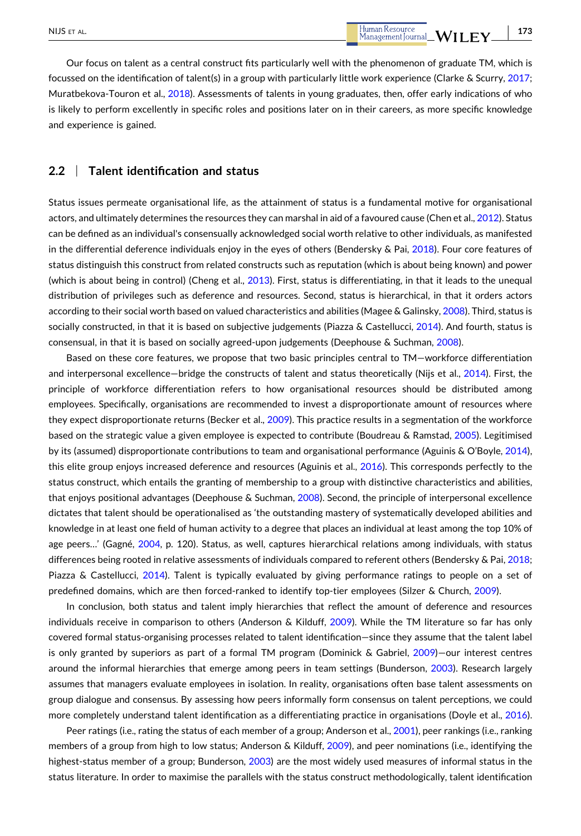Our focus on talent as a central construct fits particularly well with the phenomenon of graduate TM, which is focussed on the identification of talent(s) in a group with particularly little work experience (Clarke & Scurry, [2017](#page-22-0); Muratbekova-Touron et al., [2018\)](#page-24-0). Assessments of talents in young graduates, then, offer early indications of who is likely to perform excellently in specific roles and positions later on in their careers, as more specific knowledge and experience is gained.

# **2.2** <sup>|</sup> **Talent identification and status**

Status issues permeate organisational life, as the attainment of status is a fundamental motive for organisational actors, and ultimately determines the resources they can marshal in aid of a favoured cause (Chen et al., [2012](#page-22-0)). Status can be defined as an individual's consensually acknowledged social worth relative to other individuals, as manifested in the differential deference individuals enjoy in the eyes of others (Bendersky & Pai, [2018](#page-22-0)). Four core features of status distinguish this construct from related constructs such as reputation (which is about being known) and power (which is about being in control) (Cheng et al., [2013](#page-22-0)). First, status is differentiating, in that it leads to the unequal distribution of privileges such as deference and resources. Second, status is hierarchical, in that it orders actors according to their social worth based on valued characteristics and abilities (Magee & Galinsky, [2008](#page-23-0)). Third, status is socially constructed, in that it is based on subjective judgements (Piazza & Castellucci, [2014\)](#page-24-0). And fourth, status is consensual, in that it is based on socially agreed‐upon judgements (Deephouse & Suchman, [2008\)](#page-22-0).

Based on these core features, we propose that two basic principles central to TM—workforce differentiation and interpersonal excellence—bridge the constructs of talent and status theoretically (Nijs et al., [2014](#page-24-0)). First, the principle of workforce differentiation refers to how organisational resources should be distributed among employees. Specifically, organisations are recommended to invest a disproportionate amount of resources where they expect disproportionate returns (Becker et al., [2009](#page-22-0)). This practice results in a segmentation of the workforce based on the strategic value a given employee is expected to contribute (Boudreau & Ramstad, [2005\)](#page-22-0). Legitimised by its (assumed) disproportionate contributions to team and organisational performance (Aguinis & O'Boyle, [2014](#page-21-0)), this elite group enjoys increased deference and resources (Aguinis et al., [2016](#page-21-0)). This corresponds perfectly to the status construct, which entails the granting of membership to a group with distinctive characteristics and abilities, that enjoys positional advantages (Deephouse & Suchman, [2008\)](#page-22-0). Second, the principle of interpersonal excellence dictates that talent should be operationalised as 'the outstanding mastery of systematically developed abilities and knowledge in at least one field of human activity to a degree that places an individual at least among the top 10% of age peers…' (Gagné, [2004,](#page-23-0) p. 120). Status, as well, captures hierarchical relations among individuals, with status differences being rooted in relative assessments of individuals compared to referent others (Bendersky & Pai, [2018](#page-22-0); Piazza & Castellucci, [2014\)](#page-24-0). Talent is typically evaluated by giving performance ratings to people on a set of predefined domains, which are then forced-ranked to identify top-tier employees (Silzer & Church, [2009](#page-24-0)).

In conclusion, both status and talent imply hierarchies that reflect the amount of deference and resources individuals receive in comparison to others (Anderson & Kilduff, [2009\)](#page-21-0). While the TM literature so far has only covered formal status‐organising processes related to talent identification—since they assume that the talent label is only granted by superiors as part of a formal TM program (Dominick & Gabriel, [2009](#page-22-0))—our interest centres around the informal hierarchies that emerge among peers in team settings (Bunderson, [2003](#page-22-0)). Research largely assumes that managers evaluate employees in isolation. In reality, organisations often base talent assessments on group dialogue and consensus. By assessing how peers informally form consensus on talent perceptions, we could more completely understand talent identification as a differentiating practice in organisations (Doyle et al., [2016](#page-22-0)).

Peer ratings (i.e., rating the status of each member of a group; Anderson et al., [2001\)](#page-21-0), peer rankings (i.e., ranking members of a group from high to low status; Anderson & Kilduff, [2009](#page-21-0)), and peer nominations (i.e., identifying the highest-status member of a group; Bunderson, [2003](#page-22-0)) are the most widely used measures of informal status in the status literature. In order to maximise the parallels with the status construct methodologically, talent identification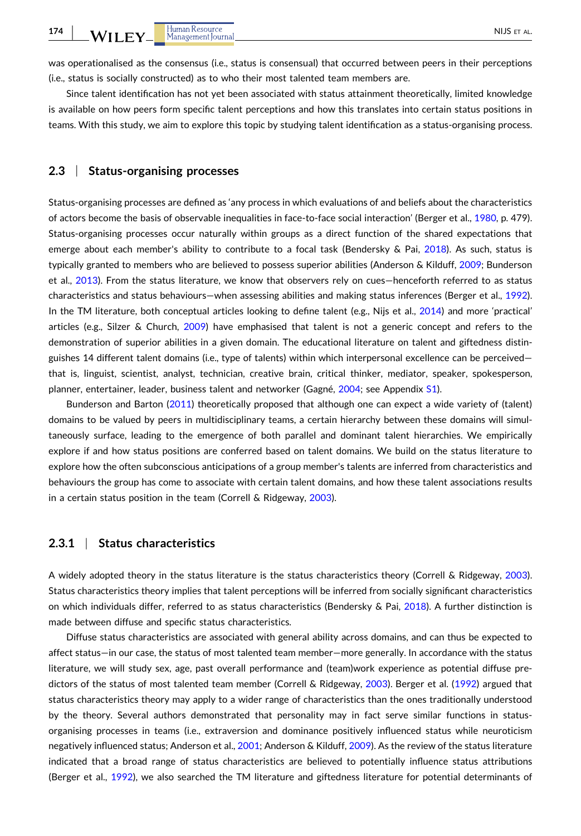was operationalised as the consensus (i.e., status is consensual) that occurred between peers in their perceptions (i.e., status is socially constructed) as to who their most talented team members are.

Since talent identification has not yet been associated with status attainment theoretically, limited knowledge is available on how peers form specific talent perceptions and how this translates into certain status positions in teams. With this study, we aim to explore this topic by studying talent identification as a status‐organising process.

# **2.3** <sup>|</sup> **Status‐organising processes**

Status‐organising processes are defined as 'any process in which evaluations of and beliefs about the characteristics of actors become the basis of observable inequalities in face-to-face social interaction' (Berger et al., [1980](#page-22-0), p. 479). Status‐organising processes occur naturally within groups as a direct function of the shared expectations that emerge about each member's ability to contribute to a focal task (Bendersky & Pai, [2018\)](#page-22-0). As such, status is typically granted to members who are believed to possess superior abilities (Anderson & Kilduff, [2009;](#page-21-0) Bunderson et al., [2013\)](#page-22-0). From the status literature, we know that observers rely on cues—henceforth referred to as status characteristics and status behaviours—when assessing abilities and making status inferences (Berger et al., [1992](#page-22-0)). In the TM literature, both conceptual articles looking to define talent (e.g., Nijs et al., [2014](#page-24-0)) and more 'practical' articles (e.g., Silzer & Church, [2009\)](#page-24-0) have emphasised that talent is not a generic concept and refers to the demonstration of superior abilities in a given domain. The educational literature on talent and giftedness distinguishes 14 different talent domains (i.e., type of talents) within which interpersonal excellence can be perceived that is, linguist, scientist, analyst, technician, creative brain, critical thinker, mediator, speaker, spokesperson, planner, entertainer, leader, business talent and networker (Gagné, [2004;](#page-23-0) see Appendix S1).

Bunderson and Barton [\(2011\)](#page-22-0) theoretically proposed that although one can expect a wide variety of (talent) domains to be valued by peers in multidisciplinary teams, a certain hierarchy between these domains will simultaneously surface, leading to the emergence of both parallel and dominant talent hierarchies. We empirically explore if and how status positions are conferred based on talent domains. We build on the status literature to explore how the often subconscious anticipations of a group member's talents are inferred from characteristics and behaviours the group has come to associate with certain talent domains, and how these talent associations results in a certain status position in the team (Correll & Ridgeway, [2003\)](#page-22-0).

#### **2.3.1** <sup>|</sup> **Status characteristics**

A widely adopted theory in the status literature is the status characteristics theory (Correll & Ridgeway, [2003](#page-22-0)). Status characteristics theory implies that talent perceptions will be inferred from socially significant characteristics on which individuals differ, referred to as status characteristics (Bendersky & Pai, [2018\)](#page-22-0). A further distinction is made between diffuse and specific status characteristics.

Diffuse status characteristics are associated with general ability across domains, and can thus be expected to affect status—in our case, the status of most talented team member—more generally. In accordance with the status literature, we will study sex, age, past overall performance and (team)work experience as potential diffuse predictors of the status of most talented team member (Correll & Ridgeway, [2003](#page-22-0)). Berger et al. [\(1992\)](#page-22-0) argued that status characteristics theory may apply to a wider range of characteristics than the ones traditionally understood by the theory. Several authors demonstrated that personality may in fact serve similar functions in status‐ organising processes in teams (i.e., extraversion and dominance positively influenced status while neuroticism negatively influenced status; Anderson et al., [2001;](#page-21-0) Anderson & Kilduff, [2009\)](#page-21-0). As the review of the status literature indicated that a broad range of status characteristics are believed to potentially influence status attributions (Berger et al., [1992\)](#page-22-0), we also searched the TM literature and giftedness literature for potential determinants of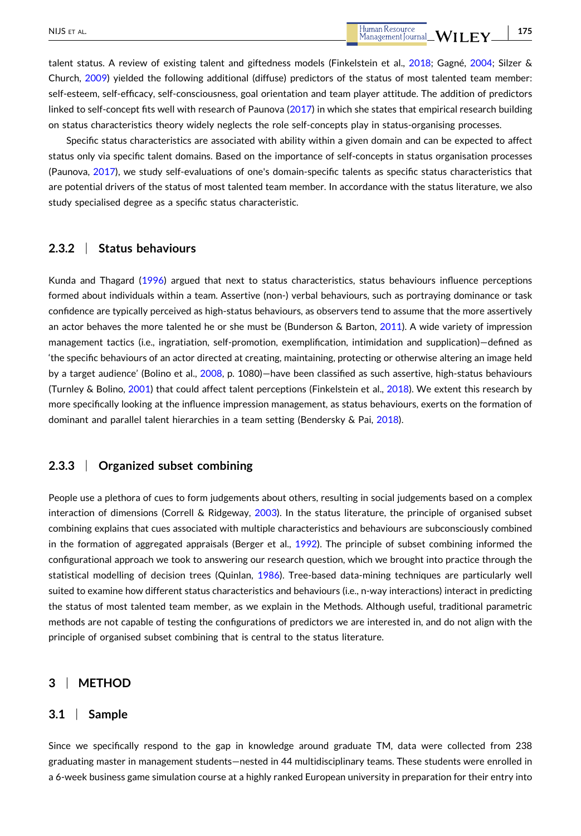talent status. A review of existing talent and giftedness models (Finkelstein et al., [2018;](#page-23-0) Gagné, [2004;](#page-23-0) Silzer & Church, [2009](#page-24-0)) yielded the following additional (diffuse) predictors of the status of most talented team member: self-esteem, self-efficacy, self-consciousness, goal orientation and team player attitude. The addition of predictors linked to self-concept fits well with research of Paunova ([2017](#page-24-0)) in which she states that empirical research building on status characteristics theory widely neglects the role self‐concepts play in status‐organising processes.

Specific status characteristics are associated with ability within a given domain and can be expected to affect status only via specific talent domains. Based on the importance of self-concepts in status organisation processes (Paunova, [2017](#page-24-0)), we study self‐evaluations of one's domain‐specific talents as specific status characteristics that are potential drivers of the status of most talented team member. In accordance with the status literature, we also study specialised degree as a specific status characteristic.

## **2.3.2** <sup>|</sup> **Status behaviours**

Kunda and Thagard [\(1996\)](#page-23-0) argued that next to status characteristics, status behaviours influence perceptions formed about individuals within a team. Assertive (non-) verbal behaviours, such as portraying dominance or task confidence are typically perceived as high-status behaviours, as observers tend to assume that the more assertively an actor behaves the more talented he or she must be (Bunderson & Barton, [2011](#page-22-0)). A wide variety of impression management tactics (i.e., ingratiation, self‐promotion, exemplification, intimidation and supplication)—defined as 'the specific behaviours of an actor directed at creating, maintaining, protecting or otherwise altering an image held by a target audience' (Bolino et al., [2008](#page-22-0), p. 1080)—have been classified as such assertive, high‐status behaviours (Turnley & Bolino, [2001\)](#page-24-0) that could affect talent perceptions (Finkelstein et al., [2018](#page-23-0)). We extent this research by more specifically looking at the influence impression management, as status behaviours, exerts on the formation of dominant and parallel talent hierarchies in a team setting (Bendersky & Pai, [2018\)](#page-22-0).

# **2.3.3** <sup>|</sup> **Organized subset combining**

People use a plethora of cues to form judgements about others, resulting in social judgements based on a complex interaction of dimensions (Correll & Ridgeway, [2003](#page-22-0)). In the status literature, the principle of organised subset combining explains that cues associated with multiple characteristics and behaviours are subconsciously combined in the formation of aggregated appraisals (Berger et al., [1992\)](#page-22-0). The principle of subset combining informed the configurational approach we took to answering our research question, which we brought into practice through the statistical modelling of decision trees (Quinlan, [1986](#page-24-0)). Tree-based data-mining techniques are particularly well suited to examine how different status characteristics and behaviours (i.e., n‐way interactions) interact in predicting the status of most talented team member, as we explain in the Methods. Although useful, traditional parametric methods are not capable of testing the configurations of predictors we are interested in, and do not align with the principle of organised subset combining that is central to the status literature.

# **3** <sup>|</sup> **METHOD**

### **3.1** <sup>|</sup> **Sample**

Since we specifically respond to the gap in knowledge around graduate TM, data were collected from 238 graduating master in management students—nested in 44 multidisciplinary teams. These students were enrolled in a 6‐week business game simulation course at a highly ranked European university in preparation for their entry into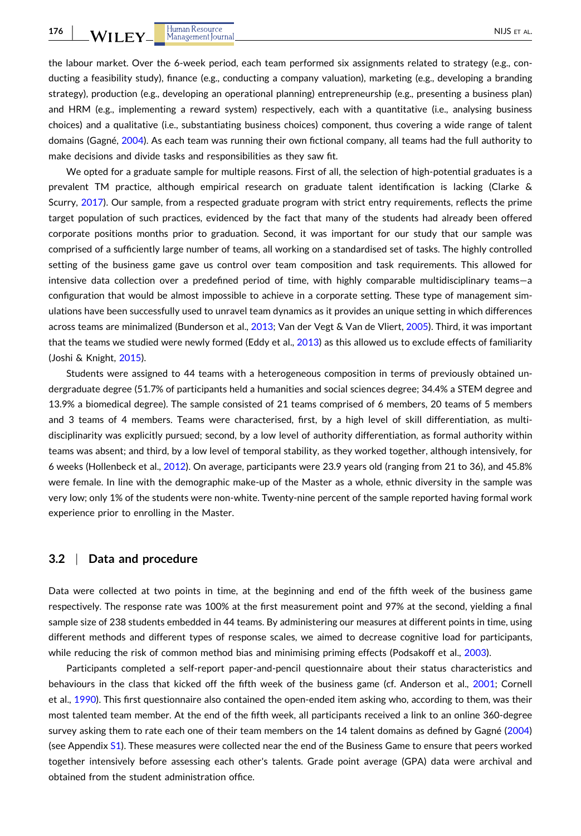the labour market. Over the 6‐week period, each team performed six assignments related to strategy (e.g., conducting a feasibility study), finance (e.g., conducting a company valuation), marketing (e.g., developing a branding strategy), production (e.g., developing an operational planning) entrepreneurship (e.g., presenting a business plan) and HRM (e.g., implementing a reward system) respectively, each with a quantitative (i.e., analysing business choices) and a qualitative (i.e., substantiating business choices) component, thus covering a wide range of talent domains (Gagné, [2004\)](#page-23-0). As each team was running their own fictional company, all teams had the full authority to make decisions and divide tasks and responsibilities as they saw fit.

We opted for a graduate sample for multiple reasons. First of all, the selection of high-potential graduates is a prevalent TM practice, although empirical research on graduate talent identification is lacking (Clarke & Scurry, [2017](#page-22-0)). Our sample, from a respected graduate program with strict entry requirements, reflects the prime target population of such practices, evidenced by the fact that many of the students had already been offered corporate positions months prior to graduation. Second, it was important for our study that our sample was comprised of a sufficiently large number of teams, all working on a standardised set of tasks. The highly controlled setting of the business game gave us control over team composition and task requirements. This allowed for intensive data collection over a predefined period of time, with highly comparable multidisciplinary teams—a configuration that would be almost impossible to achieve in a corporate setting. These type of management simulations have been successfully used to unravel team dynamics as it provides an unique setting in which differences across teams are minimalized (Bunderson et al., [2013;](#page-22-0) Van der Vegt & Van de Vliert, [2005](#page-24-0)). Third, it was important that the teams we studied were newly formed (Eddy et al., [2013](#page-22-0)) as this allowed us to exclude effects of familiarity (Joshi & Knight, [2015\)](#page-23-0).

Students were assigned to 44 teams with a heterogeneous composition in terms of previously obtained undergraduate degree (51.7% of participants held a humanities and social sciences degree; 34.4% a STEM degree and 13.9% a biomedical degree). The sample consisted of 21 teams comprised of 6 members, 20 teams of 5 members and 3 teams of 4 members. Teams were characterised, first, by a high level of skill differentiation, as multidisciplinarity was explicitly pursued; second, by a low level of authority differentiation, as formal authority within teams was absent; and third, by a low level of temporal stability, as they worked together, although intensively, for 6 weeks (Hollenbeck et al., [2012](#page-23-0)). On average, participants were 23.9 years old (ranging from 21 to 36), and 45.8% were female. In line with the demographic make‐up of the Master as a whole, ethnic diversity in the sample was very low; only 1% of the students were non‐white. Twenty‐nine percent of the sample reported having formal work experience prior to enrolling in the Master.

#### **3.2** <sup>|</sup> **Data and procedure**

Data were collected at two points in time, at the beginning and end of the fifth week of the business game respectively. The response rate was 100% at the first measurement point and 97% at the second, yielding a final sample size of 238 students embedded in 44 teams. By administering our measures at different points in time, using different methods and different types of response scales, we aimed to decrease cognitive load for participants, while reducing the risk of common method bias and minimising priming effects (Podsakoff et al., [2003\)](#page-24-0).

Participants completed a self‐report paper‐and‐pencil questionnaire about their status characteristics and behaviours in the class that kicked off the fifth week of the business game (cf. Anderson et al., [2001](#page-21-0); Cornell et al., [1990](#page-22-0)). This first questionnaire also contained the open-ended item asking who, according to them, was their most talented team member. At the end of the fifth week, all participants received a link to an online 360‐degree survey asking them to rate each one of their team members on the 14 talent domains as defined by Gagné [\(2004\)](#page-23-0) (see Appendix S1). These measures were collected near the end of the Business Game to ensure that peers worked together intensively before assessing each other's talents. Grade point average (GPA) data were archival and obtained from the student administration office.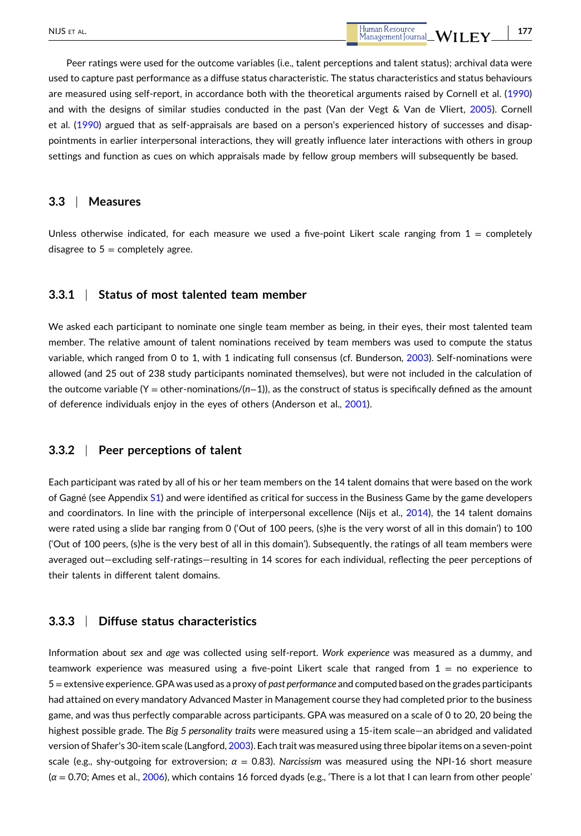Peer ratings were used for the outcome variables (i.e., talent perceptions and talent status); archival data were used to capture past performance as a diffuse status characteristic. The status characteristics and status behaviours are measured using self-report, in accordance both with the theoretical arguments raised by Cornell et al. [\(1990\)](#page-22-0) and with the designs of similar studies conducted in the past (Van der Vegt & Van de Vliert, [2005\)](#page-24-0). Cornell et al. ([1990](#page-22-0)) argued that as self‐appraisals are based on a person's experienced history of successes and disappointments in earlier interpersonal interactions, they will greatly influence later interactions with others in group settings and function as cues on which appraisals made by fellow group members will subsequently be based.

### **3.3** <sup>|</sup> **Measures**

Unless otherwise indicated, for each measure we used a five-point Likert scale ranging from  $1 =$  completely disagree to  $5 =$  completely agree.

# **3.3.1** <sup>|</sup> **Status of most talented team member**

We asked each participant to nominate one single team member as being, in their eyes, their most talented team member. The relative amount of talent nominations received by team members was used to compute the status variable, which ranged from 0 to 1, with 1 indicating full consensus (cf. Bunderson, [2003\)](#page-22-0). Self‐nominations were allowed (and 25 out of 238 study participants nominated themselves), but were not included in the calculation of the outcome variable (Y = other‐nominations/(*n*−1)), as the construct of status is specifically defined as the amount of deference individuals enjoy in the eyes of others (Anderson et al., [2001](#page-21-0)).

## **3.3.2** <sup>|</sup> **Peer perceptions of talent**

Each participant was rated by all of his or her team members on the 14 talent domains that were based on the work of Gagné (see Appendix S1) and were identified as critical for success in the Business Game by the game developers and coordinators. In line with the principle of interpersonal excellence (Nijs et al., [2014](#page-24-0)), the 14 talent domains were rated using a slide bar ranging from 0 ('Out of 100 peers, (s)he is the very worst of all in this domain') to 100 ('Out of 100 peers, (s)he is the very best of all in this domain'). Subsequently, the ratings of all team members were averaged out—excluding self‐ratings—resulting in 14 scores for each individual, reflecting the peer perceptions of their talents in different talent domains.

# **3.3.3** <sup>|</sup> **Diffuse status characteristics**

Information about *sex* and *age* was collected using self‐report. *Work experience* was measured as a dummy, and teamwork experience was measured using a five-point Likert scale that ranged from  $1 =$  no experience to 5=extensive experience. GPA was used as a proxy of *past performance* and computed based on the grades participants had attained on every mandatory Advanced Master in Management course they had completed prior to the business game, and was thus perfectly comparable across participants. GPA was measured on a scale of 0 to 20, 20 being the highest possible grade. The *Big 5 personality traits* were measured using a 15‐item scale—an abridged and validated version of Shafer's 30‐item scale (Langford, [2003](#page-23-0)). Each trait was measured using three bipolar items on a seven‐point scale (e.g., shy-outgoing for extroversion;  $\alpha = 0.83$ ). *Narcissism* was measured using the NPI-16 short measure (*α* = 0.70; Ames et al., [2006](#page-21-0)), which contains 16 forced dyads (e.g., 'There is a lot that I can learn from other people'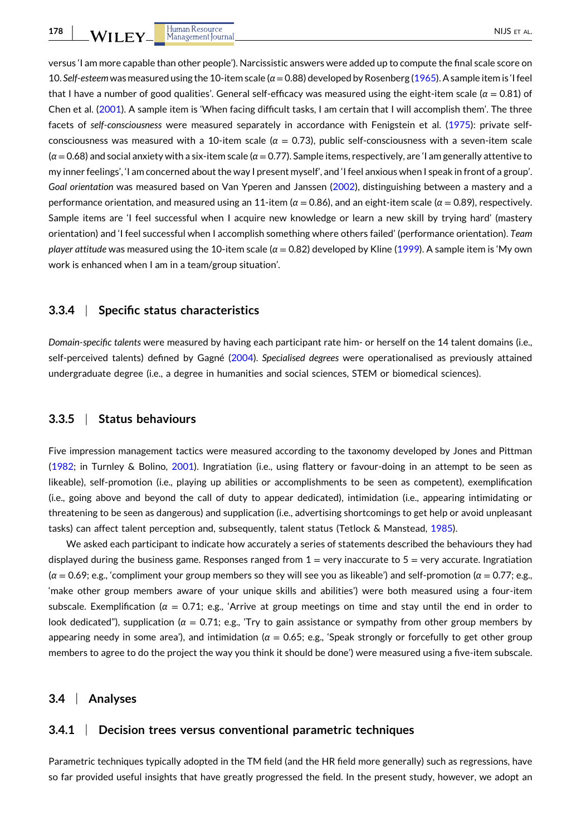versus 'I am more capable than other people'). Narcissistic answers were added up to compute the final scale score on 10. Self-esteem was measured using the 10-item scale (*α* = 0.88) developed by Rosenberg [\(1965\)](#page-24-0). A sample item is 'I feel that I have a number of good qualities'. General self‐efficacy was measured using the eight‐item scale (*α* = 0.81) of Chen et al. ([2001](#page-22-0)). A sample item is 'When facing difficult tasks, I am certain that I will accomplish them'. The three facets of *self‐consciousness* were measured separately in accordance with Fenigstein et al. [\(1975\)](#page-23-0): private self‐ consciousness was measured with a 10-item scale ( $\alpha = 0.73$ ), public self-consciousness with a seven-item scale (*α* = 0.68) and social anxiety with a six‐item scale (*α* = 0.77). Sample items, respectively, are 'I am generally attentive to my inner feelings', 'I am concerned about the way I present myself', and 'I feel anxious when I speak in front of a group'. *Goal orientation* was measured based on Van Yperen and Janssen ([2002](#page-24-0)), distinguishing between a mastery and a performance orientation, and measured using an 11‐item (*α* = 0.86), and an eight‐item scale (*α* = 0.89), respectively. Sample items are 'I feel successful when I acquire new knowledge or learn a new skill by trying hard' (mastery orientation) and 'I feel successful when I accomplish something where others failed' (performance orientation). *Team player attitude* was measured using the 10‐item scale (*α* = 0.82) developed by Kline [\(1999\)](#page-23-0). A sample item is 'My own work is enhanced when I am in a team/group situation'.

#### **3.3.4** <sup>|</sup> **Specific status characteristics**

*Domain‐specific talents* were measured by having each participant rate him‐ or herself on the 14 talent domains (i.e., self‐perceived talents) defined by Gagné ([2004](#page-23-0)). *Specialised degrees* were operationalised as previously attained undergraduate degree (i.e., a degree in humanities and social sciences, STEM or biomedical sciences).

# **3.3.5** <sup>|</sup> **Status behaviours**

Five impression management tactics were measured according to the taxonomy developed by Jones and Pittman ([1982](#page-23-0); in Turnley & Bolino, [2001\)](#page-24-0). Ingratiation (i.e., using flattery or favour‐doing in an attempt to be seen as likeable), self‐promotion (i.e., playing up abilities or accomplishments to be seen as competent), exemplification (i.e., going above and beyond the call of duty to appear dedicated), intimidation (i.e., appearing intimidating or threatening to be seen as dangerous) and supplication (i.e., advertising shortcomings to get help or avoid unpleasant tasks) can affect talent perception and, subsequently, talent status (Tetlock & Manstead, [1985\)](#page-24-0).

We asked each participant to indicate how accurately a series of statements described the behaviours they had displayed during the business game. Responses ranged from  $1 =$  very inaccurate to  $5 =$  very accurate. Ingratiation (*α* = 0.69; e.g., 'compliment your group members so they will see you as likeable') and self‐promotion (*α* = 0.77; e.g., 'make other group members aware of your unique skills and abilities') were both measured using a four‐item subscale. Exemplification (*α* = 0.71; e.g., 'Arrive at group meetings on time and stay until the end in order to look dedicated"), supplication (*α* = 0.71; e.g., 'Try to gain assistance or sympathy from other group members by appearing needy in some area'), and intimidation ( $α = 0.65$ ; e.g., 'Speak strongly or forcefully to get other group members to agree to do the project the way you think it should be done') were measured using a five‐item subscale.

# **3.4** <sup>|</sup> **Analyses**

# **3.4.1** <sup>|</sup> **Decision trees versus conventional parametric techniques**

Parametric techniques typically adopted in the TM field (and the HR field more generally) such as regressions, have so far provided useful insights that have greatly progressed the field. In the present study, however, we adopt an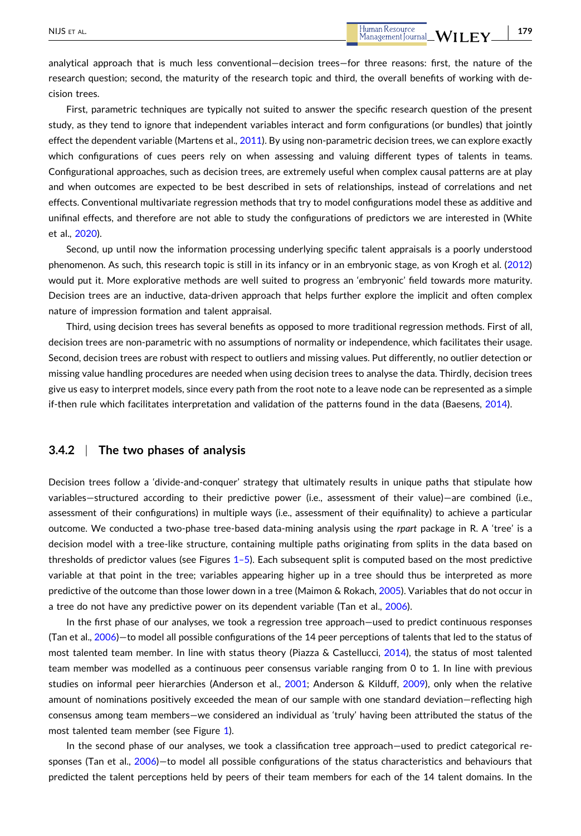First, parametric techniques are typically not suited to answer the specific research question of the present study, as they tend to ignore that independent variables interact and form configurations (or bundles) that jointly effect the dependent variable (Martens et al., [2011\)](#page-23-0). By using non-parametric decision trees, we can explore exactly which configurations of cues peers rely on when assessing and valuing different types of talents in teams. Configurational approaches, such as decision trees, are extremely useful when complex causal patterns are at play and when outcomes are expected to be best described in sets of relationships, instead of correlations and net effects. Conventional multivariate regression methods that try to model configurations model these as additive and unifinal effects, and therefore are not able to study the configurations of predictors we are interested in (White et al., [2020\)](#page-24-0).

Second, up until now the information processing underlying specific talent appraisals is a poorly understood phenomenon. As such, this research topic is still in its infancy or in an embryonic stage, as von Krogh et al. [\(2012\)](#page-24-0) would put it. More explorative methods are well suited to progress an 'embryonic' field towards more maturity. Decision trees are an inductive, data‐driven approach that helps further explore the implicit and often complex nature of impression formation and talent appraisal.

Third, using decision trees has several benefits as opposed to more traditional regression methods. First of all, decision trees are non‐parametric with no assumptions of normality or independence, which facilitates their usage. Second, decision trees are robust with respect to outliers and missing values. Put differently, no outlier detection or missing value handling procedures are needed when using decision trees to analyse the data. Thirdly, decision trees give us easy to interpret models, since every path from the root note to a leave node can be represented as a simple if-then rule which facilitates interpretation and validation of the patterns found in the data (Baesens, [2014](#page-21-0)).

# **3.4.2** <sup>|</sup> **The two phases of analysis**

Decision trees follow a 'divide‐and‐conquer' strategy that ultimately results in unique paths that stipulate how variables—structured according to their predictive power (i.e., assessment of their value)—are combined (i.e., assessment of their configurations) in multiple ways (i.e., assessment of their equifinality) to achieve a particular outcome. We conducted a two‐phase tree‐based data‐mining analysis using the *rpart* package in R. A 'tree' is a decision model with a tree‐like structure, containing multiple paths originating from splits in the data based on thresholds of predictor values (see Figures [1–5](#page-12-0)). Each subsequent split is computed based on the most predictive variable at that point in the tree; variables appearing higher up in a tree should thus be interpreted as more predictive of the outcome than those lower down in a tree (Maimon & Rokach, [2005\)](#page-23-0). Variables that do not occur in a tree do not have any predictive power on its dependent variable (Tan et al., [2006\)](#page-24-0).

In the first phase of our analyses, we took a regression tree approach—used to predict continuous responses (Tan et al., [2006](#page-24-0))—to model all possible configurations of the 14 peer perceptions of talents that led to the status of most talented team member. In line with status theory (Piazza & Castellucci, [2014\)](#page-24-0), the status of most talented team member was modelled as a continuous peer consensus variable ranging from 0 to 1. In line with previous studies on informal peer hierarchies (Anderson et al., [2001](#page-21-0); Anderson & Kilduff, [2009\)](#page-21-0), only when the relative amount of nominations positively exceeded the mean of our sample with one standard deviation—reflecting high consensus among team members—we considered an individual as 'truly' having been attributed the status of the most talented team member (see Figure [1](#page-12-0)).

In the second phase of our analyses, we took a classification tree approach—used to predict categorical re-sponses (Tan et al., [2006\)](#page-24-0)—to model all possible configurations of the status characteristics and behaviours that predicted the talent perceptions held by peers of their team members for each of the 14 talent domains. In the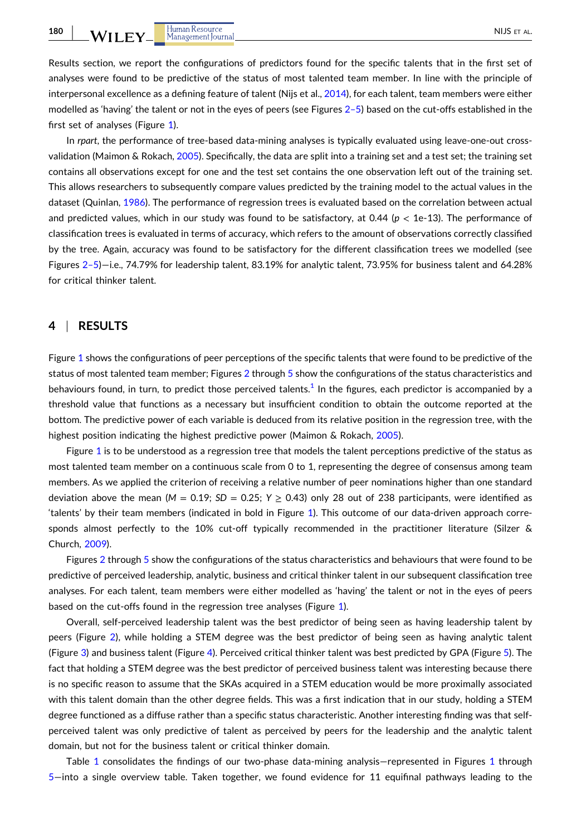Results section, we report the configurations of predictors found for the specific talents that in the first set of analyses were found to be predictive of the status of most talented team member. In line with the principle of interpersonal excellence as a defining feature of talent (Nijs et al., [2014](#page-24-0)), for each talent, team members were either modelled as 'having' the talent or not in the eyes of peers (see Figures [2–5](#page-13-0)) based on the cut-offs established in the first set of analyses (Figure [1\)](#page-12-0).

In *rpart*, the performance of tree-based data-mining analyses is typically evaluated using leave-one-out crossvalidation (Maimon & Rokach, [2005\)](#page-23-0). Specifically, the data are split into a training set and a test set; the training set contains all observations except for one and the test set contains the one observation left out of the training set. This allows researchers to subsequently compare values predicted by the training model to the actual values in the dataset (Quinlan, [1986](#page-24-0)). The performance of regression trees is evaluated based on the correlation between actual and predicted values, which in our study was found to be satisfactory, at 0.44 ( $p < 1e-13$ ). The performance of classification trees is evaluated in terms of accuracy, which refers to the amount of observations correctly classified by the tree. Again, accuracy was found to be satisfactory for the different classification trees we modelled (see Figures [2–5](#page-13-0))—i.e., 74.79% for leadership talent, 83.19% for analytic talent, 73.95% for business talent and 64.28% for critical thinker talent.

## **4** <sup>|</sup> **RESULTS**

Figure [1](#page-12-0) shows the configurations of peer perceptions of the specific talents that were found to be predictive of the status of most talented team member; Figures [2](#page-13-0) through [5](#page-15-0) show the configurations of the status characteristics and behaviours found, in turn, to predict those perceived talents.<sup>[1](#page-21-0)</sup> In the figures, each predictor is accompanied by a threshold value that functions as a necessary but insufficient condition to obtain the outcome reported at the bottom. The predictive power of each variable is deduced from its relative position in the regression tree, with the highest position indicating the highest predictive power (Maimon & Rokach, [2005\)](#page-23-0).

Figure [1](#page-12-0) is to be understood as a regression tree that models the talent perceptions predictive of the status as most talented team member on a continuous scale from 0 to 1, representing the degree of consensus among team members. As we applied the criterion of receiving a relative number of peer nominations higher than one standard deviation above the mean  $(M = 0.19; SD = 0.25; Y > 0.43)$  only 28 out of 238 participants, were identified as 'talents' by their team members (indicated in bold in Figure [1](#page-12-0)). This outcome of our data‐driven approach corresponds almost perfectly to the 10% cut-off typically recommended in the practitioner literature (Silzer & Church, [2009](#page-24-0)).

Figures [2](#page-13-0) through [5](#page-15-0) show the configurations of the status characteristics and behaviours that were found to be predictive of perceived leadership, analytic, business and critical thinker talent in our subsequent classification tree analyses. For each talent, team members were either modelled as 'having' the talent or not in the eyes of peers based on the cut-offs found in the regression tree analyses (Figure [1\)](#page-12-0).

Overall, self‐perceived leadership talent was the best predictor of being seen as having leadership talent by peers (Figure [2](#page-13-0)), while holding a STEM degree was the best predictor of being seen as having analytic talent (Figure [3](#page-13-0)) and business talent (Figure [4](#page-14-0)). Perceived critical thinker talent was best predicted by GPA (Figure [5\)](#page-15-0). The fact that holding a STEM degree was the best predictor of perceived business talent was interesting because there is no specific reason to assume that the SKAs acquired in a STEM education would be more proximally associated with this talent domain than the other degree fields. This was a first indication that in our study, holding a STEM degree functioned as a diffuse rather than a specific status characteristic. Another interesting finding was that self‐ perceived talent was only predictive of talent as perceived by peers for the leadership and the analytic talent domain, but not for the business talent or critical thinker domain.

Table [1](#page-12-0) consolidates the findings of our two-phase data-mining analysis–represented in Figures 1 through [5](#page-15-0)—into a single overview table. Taken together, we found evidence for 11 equifinal pathways leading to the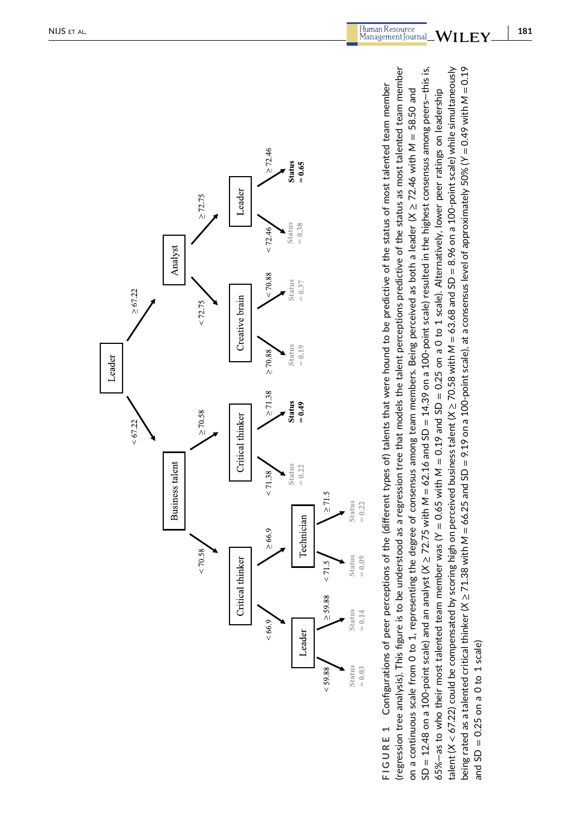<span id="page-12-0"></span>

 $SD = 12.48$  on a 100-point scale) and an analyst (X  $\geq$  72.75 with M = 62.16 and SD = 14.39 on a 100-point scale) resulted in the highest consensus among peers-this is, being rated as a talented critical thinker (X  $\geq$  71.38 with M = 66.25 and SD = 9.19 on a 100-point scale), at a consensus level of approximately 50% (Y = 0.49 with M = 0.19 regression tree analysis). This figure is to be understood as a regression tree that models the talent perceptions predictive of the status as most talented team member talent (X < 67.22) could be compensated by scoring high on perceived business talent (X ≥ 70.58 with M = 63.68 and SD = 8.96 on a 100-point scale) while simultaneously (regression tree analysis). This figure is to be understood as a regression tree that models the talent perceptions predictive of the status as most talented team member SD = 12.48 on a 100‐point scale) and an analyst (*X* ≥ 72.75 with *M* = 62.16 and SD = 14.39 on a 100‐point scale) resulted in the highest consensus among peers—this is, talent (*X* < 67.22) could be compensated by scoring high on perceived business talent (*X* ≥ 70.58 with *M* = 63.68 and SD = 8.96 on a 100‐point scale) while simultaneously being rated as a talented critical thinker (*X* ≥ 71.38 with *M* = 66.25 and SD = 9.19 on a 100‐point scale), at a consensus level of approximately 50% (*Y* = 0.49 with *M* = 0.19 FIGURE 1 Configurations of peer perceptions of the (different types of) talents that were hound to be predictive of the status of most talented team member **FIGURE 1** Configurations of peer perceptions of the (different types of) talents that were hound to be predictive of the status of most talented team member on a continuous scale from 0 to 1, representing the degree of consensus among team members. Being perceived as both a leader (X  $\geq$  72.46 with M = 58.50 and 65%—as to who their most talented team member was (Y = 0.65 with M = 0.19 and SD = 0.25 on a 0 to 1 scale). Alternatively, lower peer ratings on leadership on a continuous scale from 0 to 1, representing the degree of consensus among team members. Being perceived as both a leader (*X* ≥ 72.46 with *M* = 58.50 and 65%—as to who their most talented team member was (*Y* = 0.65 with *M* = 0.19 and SD = 0.25 on a 0 to 1 scale). Alternatively, lower peer ratings on leadership and  $SD = 0.25$  on a 0 to 1 scale) and  $SD = 0.25$  on a 0 to 1 scale)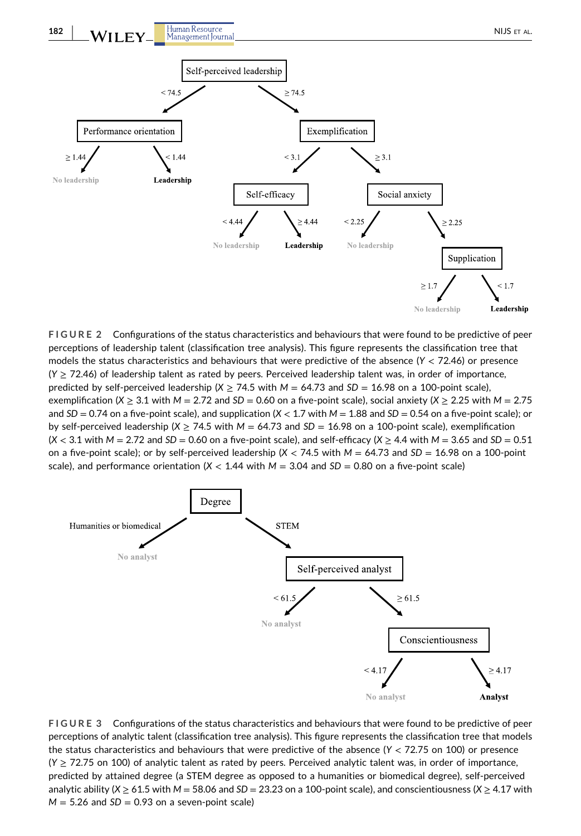<span id="page-13-0"></span>

**FIGURE 2** Configurations of the status characteristics and behaviours that were found to be predictive of peer perceptions of leadership talent (classification tree analysis). This figure represents the classification tree that models the status characteristics and behaviours that were predictive of the absence (*Y* < 72.46) or presence (*Y* ≥ 72.46) of leadership talent as rated by peers. Perceived leadership talent was, in order of importance, predicted by self-perceived leadership ( $X \ge 74.5$  with  $M = 64.73$  and  $SD = 16.98$  on a 100-point scale), exemplification ( $X \ge 3.1$  with  $M = 2.72$  and  $SD = 0.60$  on a five-point scale), social anxiety ( $X \ge 2.25$  with  $M = 2.75$ and  $SD = 0.74$  on a five-point scale), and supplication  $(X < 1.7$  with  $M = 1.88$  and  $SD = 0.54$  on a five-point scale); or by self-perceived leadership ( $X \ge 74.5$  with  $M = 64.73$  and  $SD = 16.98$  on a 100-point scale), exemplification (*X* < 3.1 with *M* = 2.72 and *SD* = 0.60 on a five‐point scale), and self‐efficacy (*X* ≥ 4.4 with *M* = 3.65 and *SD* = 0.51 on a five-point scale); or by self-perceived leadership  $(X < 74.5$  with  $M = 64.73$  and  $SD = 16.98$  on a 100-point scale), and performance orientation ( $X < 1.44$  with  $M = 3.04$  and  $SD = 0.80$  on a five-point scale)



**FIGURE 3** Configurations of the status characteristics and behaviours that were found to be predictive of peer perceptions of analytic talent (classification tree analysis). This figure represents the classification tree that models the status characteristics and behaviours that were predictive of the absence (*Y* < 72.75 on 100) or presence (*Y* ≥ 72.75 on 100) of analytic talent as rated by peers. Perceived analytic talent was, in order of importance, predicted by attained degree (a STEM degree as opposed to a humanities or biomedical degree), self‐perceived analytic ability (*X* ≥ 61.5 with *M* = 58.06 and *SD* = 23.23 on a 100‐point scale), and conscientiousness (*X* ≥ 4.17 with  $M = 5.26$  and  $SD = 0.93$  on a seven-point scale)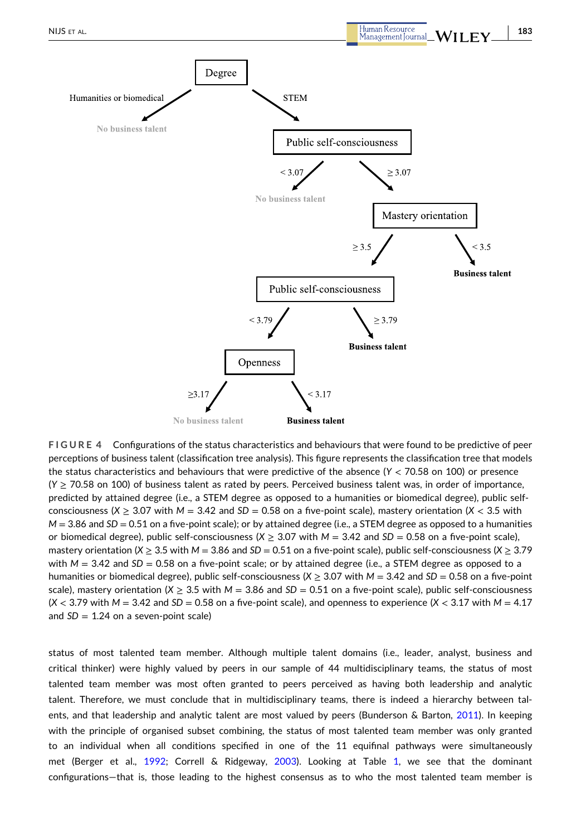<span id="page-14-0"></span>

**FIGURE 4** Configurations of the status characteristics and behaviours that were found to be predictive of peer perceptions of business talent (classification tree analysis). This figure represents the classification tree that models the status characteristics and behaviours that were predictive of the absence (*Y* < 70.58 on 100) or presence (*Y* ≥ 70.58 on 100) of business talent as rated by peers. Perceived business talent was, in order of importance, predicted by attained degree (i.e., a STEM degree as opposed to a humanities or biomedical degree), public self‐ consciousness ( $X \ge 3.07$  with  $M = 3.42$  and  $SD = 0.58$  on a five-point scale), mastery orientation ( $X < 3.5$  with *M* = 3.86 and *SD* = 0.51 on a five-point scale); or by attained degree (i.e., a STEM degree as opposed to a humanities or biomedical degree), public self‐consciousness (*X* ≥ 3.07 with *M* = 3.42 and *SD* = 0.58 on a five‐point scale), mastery orientation ( $X \ge 3.5$  with  $M = 3.86$  and  $SD = 0.51$  on a five-point scale), public self-consciousness ( $X \ge 3.79$ with  $M = 3.42$  and *SD* = 0.58 on a five-point scale; or by attained degree (i.e., a STEM degree as opposed to a humanities or biomedical degree), public self‐consciousness (*X* ≥ 3.07 with *M* = 3.42 and *SD* = 0.58 on a five‐point scale), mastery orientation ( $X \geq 3.5$  with  $M = 3.86$  and  $SD = 0.51$  on a five-point scale), public self-consciousness  $(X < 3.79$  with  $M = 3.42$  and  $SD = 0.58$  on a five-point scale), and openness to experience  $(X < 3.17$  with  $M = 4.17$ and  $SD = 1.24$  on a seven-point scale)

status of most talented team member. Although multiple talent domains (i.e., leader, analyst, business and critical thinker) were highly valued by peers in our sample of 44 multidisciplinary teams, the status of most talented team member was most often granted to peers perceived as having both leadership and analytic talent. Therefore, we must conclude that in multidisciplinary teams, there is indeed a hierarchy between talents, and that leadership and analytic talent are most valued by peers (Bunderson & Barton, [2011\)](#page-22-0). In keeping with the principle of organised subset combining, the status of most talented team member was only granted to an individual when all conditions specified in one of the 11 equifinal pathways were simultaneously met (Berger et al., [1992](#page-22-0); Correll & Ridgeway, [2003](#page-22-0)). Looking at Table [1,](#page-16-0) we see that the dominant configurations—that is, those leading to the highest consensus as to who the most talented team member is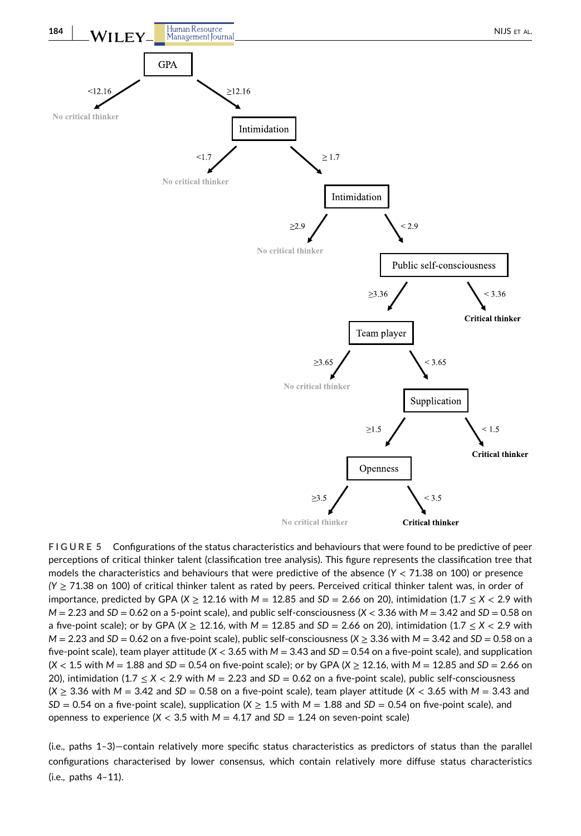<span id="page-15-0"></span>

**FIGURE 5** Configurations of the status characteristics and behaviours that were found to be predictive of peer perceptions of critical thinker talent (classification tree analysis). This figure represents the classification tree that models the characteristics and behaviours that were predictive of the absence (*Y* < 71.38 on 100) or presence *(Y* ≥ 71.38 on 100) of critical thinker talent as rated by peers. Perceived critical thinker talent was, in order of importance, predicted by GPA ( $X \ge 12.16$  with  $M = 12.85$  and  $SD = 2.66$  on 20), intimidation (1.7  $\le X < 2.9$  with  $M = 2.23$  and  $SD = 0.62$  on a 5-point scale), and public self-consciousness ( $X < 3.36$  with  $M = 3.42$  and  $SD = 0.58$  on a five‐point scale); or by GPA (*X* ≥ 12.16, with *M* = 12.85 and *SD* = 2.66 on 20), intimidation (1.7 ≤ *X* < 2.9 with  $M = 2.23$  and  $SD = 0.62$  on a five-point scale), public self-consciousness ( $X \geq 3.36$  with  $M = 3.42$  and  $SD = 0.58$  on a five‐point scale), team player attitude (*X* < 3.65 with *M* = 3.43 and *SD* = 0.54 on a five‐point scale), and supplication  $(X < 1.5$  with  $M = 1.88$  and  $SD = 0.54$  on five-point scale); or by GPA  $(X \ge 12.16$ , with  $M = 12.85$  and  $SD = 2.66$  on 20), intimidation (1.7 ≤ *X* < 2.9 with *M* = 2.23 and *SD* = 0.62 on a five‐point scale), public self‐consciousness  $(X \ge 3.36$  with  $M = 3.42$  and  $SD = 0.58$  on a five-point scale), team player attitude  $(X < 3.65$  with  $M = 3.43$  and  $SD = 0.54$  on a five-point scale), supplication  $(X > 1.5$  with  $M = 1.88$  and  $SD = 0.54$  on five-point scale), and openness to experience  $(X < 3.5$  with  $M = 4.17$  and  $SD = 1.24$  on seven-point scale)

(i.e., paths 1–3)—contain relatively more specific status characteristics as predictors of status than the parallel configurations characterised by lower consensus, which contain relatively more diffuse status characteristics (i.e., paths 4–11).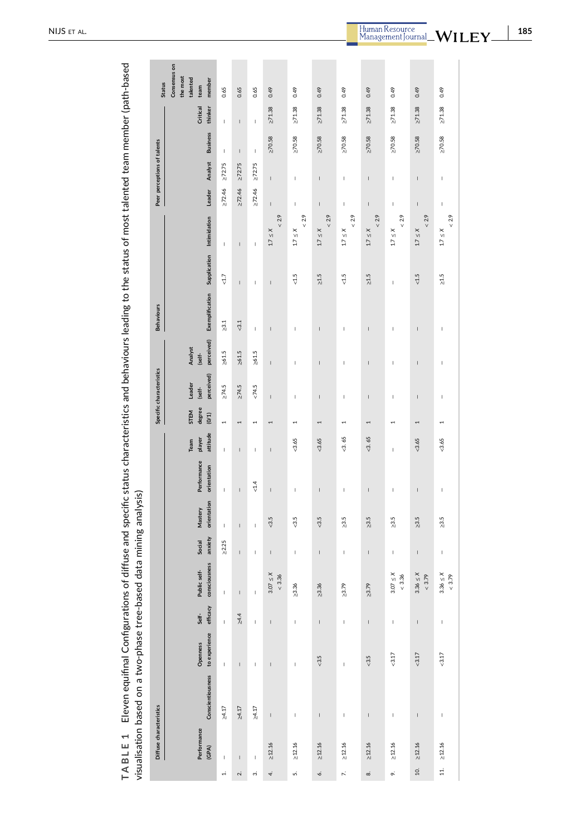<span id="page-16-0"></span>

| 33<br>asas<br>)<br>!<br>į<br>i<br>$\frac{1}{2}$                                                                                                                                                                                                                                                                                                    |                                                                                                                                                     |
|----------------------------------------------------------------------------------------------------------------------------------------------------------------------------------------------------------------------------------------------------------------------------------------------------------------------------------------------------|-----------------------------------------------------------------------------------------------------------------------------------------------------|
| ī<br>)<br>)<br>)<br>)<br>)<br>こうらて<br>$\sim$<br>j<br>֧֧֧֧֧֧֧֦֧֧֧֧֧֧֦֧֧֧֦֧֧ׅ֧֧֚֚֚֚֚֚֚֚֚֚֚֚֚֚֚֚֚֚֚֚֚֚֚֚֚֚֚֚֚֚֚֚֚֚֝֝֓֝֓֝֓֓֡֓֓֡֓֡֓֡֓֓֓֓֓֝֬֜֝֬֝<br>I<br>$\frac{1}{2}$<br>--<br>--<br>-<br>-<br>יי המה המה ה<br> <br> <br> <br> <br> <br>l<br>of diffuse<br>)<br>2<br>=<br>ě<br>I<br>j<br>ة<br>تا<br>ļ<br>l<br>Í<br>i<br>j<br>i<br>؛<br>ن<br>Ď<br>ī<br>Ì | :<br>֧֦֧֦֧֦֧֦֧֦֧֦֧֦֧֦֧֦֧֦֧֦֧֦֧֦֧֩֘<br>֧֧֝֜֝֓֝֜֝<br><b>CASS</b><br>$\vdots$<br>$\vdots$<br>ased data mini<br>$\overline{ }$<br>i<br>j<br>i<br>!<br>! |
| 1<br>$\overline{a}$<br>J<br>J<br>J<br>$\frac{1}{1}$<br>ì<br>1                                                                                                                                                                                                                                                                                      | $\ddot{\phantom{a}}$                                                                                                                                |

|                             | Consensus on                           |                                       |              |                                                                                                                                                                                                                                                                                                                                                                                  |                                                                                                                                                                                                                                                                                                                                                                                                                |                                                                                                                                                                                                                                                                                                                                                                                  |                       |                       |                                                                                                                                                                                                                                                                                                                                                                                                                |                                |                                                                                                                                                                                                                                                                                                                                                                                                                |                         |
|-----------------------------|----------------------------------------|---------------------------------------|--------------|----------------------------------------------------------------------------------------------------------------------------------------------------------------------------------------------------------------------------------------------------------------------------------------------------------------------------------------------------------------------------------|----------------------------------------------------------------------------------------------------------------------------------------------------------------------------------------------------------------------------------------------------------------------------------------------------------------------------------------------------------------------------------------------------------------|----------------------------------------------------------------------------------------------------------------------------------------------------------------------------------------------------------------------------------------------------------------------------------------------------------------------------------------------------------------------------------|-----------------------|-----------------------|----------------------------------------------------------------------------------------------------------------------------------------------------------------------------------------------------------------------------------------------------------------------------------------------------------------------------------------------------------------------------------------------------------------|--------------------------------|----------------------------------------------------------------------------------------------------------------------------------------------------------------------------------------------------------------------------------------------------------------------------------------------------------------------------------------------------------------------------------------------------------------|-------------------------|
| <b>Status</b>               | the most<br>talented<br>member<br>team | 0.65                                  | 0.65         | 0.65                                                                                                                                                                                                                                                                                                                                                                             | 0.49                                                                                                                                                                                                                                                                                                                                                                                                           | 0.49                                                                                                                                                                                                                                                                                                                                                                             | 0.49                  | 0.49                  | 0.49                                                                                                                                                                                                                                                                                                                                                                                                           | 0.49                           | 0.49                                                                                                                                                                                                                                                                                                                                                                                                           | 0.49                    |
|                             | Critical<br>thinker                    | I                                     | $\mathsf{I}$ | $\begin{array}{c} \rule{0pt}{2.5ex} \rule{0pt}{2.5ex} \rule{0pt}{2.5ex} \rule{0pt}{2.5ex} \rule{0pt}{2.5ex} \rule{0pt}{2.5ex} \rule{0pt}{2.5ex} \rule{0pt}{2.5ex} \rule{0pt}{2.5ex} \rule{0pt}{2.5ex} \rule{0pt}{2.5ex} \rule{0pt}{2.5ex} \rule{0pt}{2.5ex} \rule{0pt}{2.5ex} \rule{0pt}{2.5ex} \rule{0pt}{2.5ex} \rule{0pt}{2.5ex} \rule{0pt}{2.5ex} \rule{0pt}{2.5ex} \rule{0$ | $\geq 71.38$                                                                                                                                                                                                                                                                                                                                                                                                   | $\geq 71.38$                                                                                                                                                                                                                                                                                                                                                                     | $\geq 71.38$          | $\geq 71.38$          | $\geq 71.38$                                                                                                                                                                                                                                                                                                                                                                                                   | $\geq 71.38$                   | $\geq 71.38$                                                                                                                                                                                                                                                                                                                                                                                                   | $\geq 71.38$            |
| Peer perceptions of talents | <b>Business</b>                        | I                                     | $\mathsf I$  | $\mathsf I$                                                                                                                                                                                                                                                                                                                                                                      | $\geq 70.58$                                                                                                                                                                                                                                                                                                                                                                                                   | $\geq 70.58$                                                                                                                                                                                                                                                                                                                                                                     | $\geq 70.58$          | $\geq 70.58$          | $\geq 70.58$                                                                                                                                                                                                                                                                                                                                                                                                   | $\geq 70.58$                   | $\geq 70.58$                                                                                                                                                                                                                                                                                                                                                                                                   | $\geq 70.58$            |
|                             | Analyst                                | $\geq 72.75$                          | $\geq 72.75$ | $\ge$ 72.75                                                                                                                                                                                                                                                                                                                                                                      | $\mathbf{I}$                                                                                                                                                                                                                                                                                                                                                                                                   | $\mathsf I$                                                                                                                                                                                                                                                                                                                                                                      | $\mathsf I$           | I.                    | $\mathsf{I}$                                                                                                                                                                                                                                                                                                                                                                                                   | $\mathbf{I}$                   | $\begin{array}{c} \rule{0pt}{2ex} \rule{0pt}{2ex} \rule{0pt}{2ex} \rule{0pt}{2ex} \rule{0pt}{2ex} \rule{0pt}{2ex} \rule{0pt}{2ex} \rule{0pt}{2ex} \rule{0pt}{2ex} \rule{0pt}{2ex} \rule{0pt}{2ex} \rule{0pt}{2ex} \rule{0pt}{2ex} \rule{0pt}{2ex} \rule{0pt}{2ex} \rule{0pt}{2ex} \rule{0pt}{2ex} \rule{0pt}{2ex} \rule{0pt}{2ex} \rule{0pt}{2ex} \rule{0pt}{2ex} \rule{0pt}{2ex} \rule{0pt}{2ex} \rule{0pt}{$ | $\mathsf I$             |
|                             | Leader                                 | $\geq 72.46$                          | $\geq 72.46$ | $\geq 72.46$                                                                                                                                                                                                                                                                                                                                                                     | $\overline{1}$                                                                                                                                                                                                                                                                                                                                                                                                 | I                                                                                                                                                                                                                                                                                                                                                                                | $\overline{1}$        | I                     | I                                                                                                                                                                                                                                                                                                                                                                                                              | $\mathbf{I}$                   | $\overline{1}$                                                                                                                                                                                                                                                                                                                                                                                                 | $\mathbf{I}$            |
| <b>Behaviours</b>           |                                        | I                                     | $\mathsf{I}$ | I                                                                                                                                                                                                                                                                                                                                                                                | < 2.9<br>$1.7 \leq X$                                                                                                                                                                                                                                                                                                                                                                                          | < 2.9<br>$1.7 \leq X$                                                                                                                                                                                                                                                                                                                                                            | < 2.9<br>$1.7 \leq X$ | < 2.9<br>$1.7 \leq X$ | $< 2.9$<br>$1.7 \leq X$                                                                                                                                                                                                                                                                                                                                                                                        | $< 2.9$<br>$1.7 \leq X$        | < 2.9<br>$1.7 \leq X$                                                                                                                                                                                                                                                                                                                                                                                          | < 2.9<br>$1.7 \leq X$   |
|                             | Supplication Intimidation              | $<1.7$                                | $\mathbf{I}$ | I.                                                                                                                                                                                                                                                                                                                                                                               | $\overline{1}$                                                                                                                                                                                                                                                                                                                                                                                                 | & 1.5                                                                                                                                                                                                                                                                                                                                                                            | $\geq 1.5$            | & 1.5                 | $\geq 1.5$                                                                                                                                                                                                                                                                                                                                                                                                     | I                              | & 1.5                                                                                                                                                                                                                                                                                                                                                                                                          | $\geq 1.5$              |
|                             | Exemplification                        | $\geq 3.1$                            | $< 3.1$      | $\mathbf{I}$                                                                                                                                                                                                                                                                                                                                                                     | $\mathsf{I}$                                                                                                                                                                                                                                                                                                                                                                                                   | I,                                                                                                                                                                                                                                                                                                                                                                               | $\overline{1}$        | I                     | $\overline{1}$                                                                                                                                                                                                                                                                                                                                                                                                 | Ï                              | $\overline{1}$                                                                                                                                                                                                                                                                                                                                                                                                 | I                       |
| Specific characteristics    | perceived)<br>Analyst<br>(self-        | $\ge 61.5$                            | $\ge 61.5$   | $\ge 61.5$                                                                                                                                                                                                                                                                                                                                                                       | $\mathsf{I}$                                                                                                                                                                                                                                                                                                                                                                                                   | I                                                                                                                                                                                                                                                                                                                                                                                | $\mathbf{I}$          | I                     | $\overline{\phantom{a}}$                                                                                                                                                                                                                                                                                                                                                                                       | I                              | $\mathsf{I}$                                                                                                                                                                                                                                                                                                                                                                                                   | I                       |
|                             | perceived)<br>Leader<br>(self-         | $\geq$ 74.5                           | $\geq$ 74.5  | < 74.5                                                                                                                                                                                                                                                                                                                                                                           | $\overline{1}$                                                                                                                                                                                                                                                                                                                                                                                                 | I                                                                                                                                                                                                                                                                                                                                                                                | $\overline{1}$        | I                     | I                                                                                                                                                                                                                                                                                                                                                                                                              | Ï                              | $\overline{1}$                                                                                                                                                                                                                                                                                                                                                                                                 | I                       |
|                             | degree<br>STEM<br>(0/1)                | $\overline{a}$                        | 1            | $\mathbf{\ddot{}}$                                                                                                                                                                                                                                                                                                                                                               | 1                                                                                                                                                                                                                                                                                                                                                                                                              | ٠                                                                                                                                                                                                                                                                                                                                                                                | 1                     | T                     | I                                                                                                                                                                                                                                                                                                                                                                                                              | 1                              | I                                                                                                                                                                                                                                                                                                                                                                                                              | 1                       |
| Diffuse characteristics     | attitude<br>player<br>Team             | I                                     | $\mathsf I$  | $\begin{array}{c} \rule{0pt}{2.5ex} \rule{0pt}{2.5ex} \rule{0pt}{2.5ex} \rule{0pt}{2.5ex} \rule{0pt}{2.5ex} \rule{0pt}{2.5ex} \rule{0pt}{2.5ex} \rule{0pt}{2.5ex} \rule{0pt}{2.5ex} \rule{0pt}{2.5ex} \rule{0pt}{2.5ex} \rule{0pt}{2.5ex} \rule{0pt}{2.5ex} \rule{0pt}{2.5ex} \rule{0pt}{2.5ex} \rule{0pt}{2.5ex} \rule{0pt}{2.5ex} \rule{0pt}{2.5ex} \rule{0pt}{2.5ex} \rule{0$ | $\overline{1}$                                                                                                                                                                                                                                                                                                                                                                                                 | &0.65                                                                                                                                                                                                                                                                                                                                                                            | &3.65                 | & 3.65                | & 3.65                                                                                                                                                                                                                                                                                                                                                                                                         | I                              | &3.65                                                                                                                                                                                                                                                                                                                                                                                                          | &3.65                   |
|                             | Performance<br>orientation             | I                                     | $\mathbf{I}$ | & 1.4                                                                                                                                                                                                                                                                                                                                                                            | $\overline{1}$                                                                                                                                                                                                                                                                                                                                                                                                 | I                                                                                                                                                                                                                                                                                                                                                                                | $\overline{1}$        | I                     | $\overline{1}$                                                                                                                                                                                                                                                                                                                                                                                                 | I                              | $\overline{1}$                                                                                                                                                                                                                                                                                                                                                                                                 | I                       |
|                             | orientation<br>Mastery                 | $\mathbf{I}$                          | $\mathbf{I}$ | I.                                                                                                                                                                                                                                                                                                                                                                               | & 3.5                                                                                                                                                                                                                                                                                                                                                                                                          | & 3.5                                                                                                                                                                                                                                                                                                                                                                            | & 3.5                 | > 3.5                 | $\geq 3.5$                                                                                                                                                                                                                                                                                                                                                                                                     | $\geq 3.5$                     | > 3.5                                                                                                                                                                                                                                                                                                                                                                                                          | $\geq 3.5$              |
|                             | anxiety<br>Social                      | $\geq 2.25$                           | $\mathsf I$  | I                                                                                                                                                                                                                                                                                                                                                                                | $\begin{array}{c} \rule{0pt}{2ex} \rule{0pt}{2ex} \rule{0pt}{2ex} \rule{0pt}{2ex} \rule{0pt}{2ex} \rule{0pt}{2ex} \rule{0pt}{2ex} \rule{0pt}{2ex} \rule{0pt}{2ex} \rule{0pt}{2ex} \rule{0pt}{2ex} \rule{0pt}{2ex} \rule{0pt}{2ex} \rule{0pt}{2ex} \rule{0pt}{2ex} \rule{0pt}{2ex} \rule{0pt}{2ex} \rule{0pt}{2ex} \rule{0pt}{2ex} \rule{0pt}{2ex} \rule{0pt}{2ex} \rule{0pt}{2ex} \rule{0pt}{2ex} \rule{0pt}{$ | I                                                                                                                                                                                                                                                                                                                                                                                | $\mathsf{I}$          | I.                    | $\mathsf{I}$                                                                                                                                                                                                                                                                                                                                                                                                   | I                              | $\overline{1}$                                                                                                                                                                                                                                                                                                                                                                                                 | $\mathsf I$             |
|                             | consciousness<br>Public self-          | L                                     | $\mathsf I$  | I                                                                                                                                                                                                                                                                                                                                                                                | $3.07 \leq X$<br>< 3.36                                                                                                                                                                                                                                                                                                                                                                                        | $\geq 3.36$                                                                                                                                                                                                                                                                                                                                                                      | $\geq 3.36$           | > 3.79                | $\geq 3.79$                                                                                                                                                                                                                                                                                                                                                                                                    | $3.07 \leq X$<br>${}_{<} 3.36$ | $3.36 \leq X$<br>& 3.79                                                                                                                                                                                                                                                                                                                                                                                        | $3.36 \leq X$<br>< 3.79 |
|                             | efficacy<br>Self-                      | $\mathbf{I}$                          | $\geq 4.4$   | $\mathsf I$                                                                                                                                                                                                                                                                                                                                                                      | $\overline{1}$                                                                                                                                                                                                                                                                                                                                                                                                 | $\mathsf I$                                                                                                                                                                                                                                                                                                                                                                      | $\mathsf I$           | $\mathsf I$           | $\mathsf I$                                                                                                                                                                                                                                                                                                                                                                                                    | I                              | $\begin{array}{c} \rule{0pt}{2ex} \rule{0pt}{2ex} \rule{0pt}{2ex} \rule{0pt}{2ex} \rule{0pt}{2ex} \rule{0pt}{2ex} \rule{0pt}{2ex} \rule{0pt}{2ex} \rule{0pt}{2ex} \rule{0pt}{2ex} \rule{0pt}{2ex} \rule{0pt}{2ex} \rule{0pt}{2ex} \rule{0pt}{2ex} \rule{0pt}{2ex} \rule{0pt}{2ex} \rule{0pt}{2ex} \rule{0pt}{2ex} \rule{0pt}{2ex} \rule{0pt}{2ex} \rule{0pt}{2ex} \rule{0pt}{2ex} \rule{0pt}{2ex} \rule{0pt}{$ | $\mathsf I$             |
|                             | to experience<br>Openness              | $\mathbf{I}$                          | $\mathsf I$  | $\begin{array}{c} \rule{0pt}{2.5ex} \rule{0pt}{2.5ex} \rule{0pt}{2.5ex} \rule{0pt}{2.5ex} \rule{0pt}{2.5ex} \rule{0pt}{2.5ex} \rule{0pt}{2.5ex} \rule{0pt}{2.5ex} \rule{0pt}{2.5ex} \rule{0pt}{2.5ex} \rule{0pt}{2.5ex} \rule{0pt}{2.5ex} \rule{0pt}{2.5ex} \rule{0pt}{2.5ex} \rule{0pt}{2.5ex} \rule{0pt}{2.5ex} \rule{0pt}{2.5ex} \rule{0pt}{2.5ex} \rule{0pt}{2.5ex} \rule{0$ | $\overline{1}$                                                                                                                                                                                                                                                                                                                                                                                                 | I                                                                                                                                                                                                                                                                                                                                                                                | & 3.5                 | I                     | & 3.5                                                                                                                                                                                                                                                                                                                                                                                                          | &5.17                          | <3.17                                                                                                                                                                                                                                                                                                                                                                                                          | <3.17                   |
|                             | <b>Conscientiousness</b>               | $\geq 4.17$                           | $\geq 4.17$  | $\geq 4.17$                                                                                                                                                                                                                                                                                                                                                                      | $\mathsf I$                                                                                                                                                                                                                                                                                                                                                                                                    | $\begin{array}{c} \rule{0pt}{2.5ex} \rule{0pt}{2.5ex} \rule{0pt}{2.5ex} \rule{0pt}{2.5ex} \rule{0pt}{2.5ex} \rule{0pt}{2.5ex} \rule{0pt}{2.5ex} \rule{0pt}{2.5ex} \rule{0pt}{2.5ex} \rule{0pt}{2.5ex} \rule{0pt}{2.5ex} \rule{0pt}{2.5ex} \rule{0pt}{2.5ex} \rule{0pt}{2.5ex} \rule{0pt}{2.5ex} \rule{0pt}{2.5ex} \rule{0pt}{2.5ex} \rule{0pt}{2.5ex} \rule{0pt}{2.5ex} \rule{0$ | $\sf I$               | I                     | $\begin{array}{c} \rule{0pt}{2ex} \rule{0pt}{2ex} \rule{0pt}{2ex} \rule{0pt}{2ex} \rule{0pt}{2ex} \rule{0pt}{2ex} \rule{0pt}{2ex} \rule{0pt}{2ex} \rule{0pt}{2ex} \rule{0pt}{2ex} \rule{0pt}{2ex} \rule{0pt}{2ex} \rule{0pt}{2ex} \rule{0pt}{2ex} \rule{0pt}{2ex} \rule{0pt}{2ex} \rule{0pt}{2ex} \rule{0pt}{2ex} \rule{0pt}{2ex} \rule{0pt}{2ex} \rule{0pt}{2ex} \rule{0pt}{2ex} \rule{0pt}{2ex} \rule{0pt}{$ | I                              | $\begin{array}{c} \rule{0pt}{2ex} \rule{0pt}{2ex} \rule{0pt}{2ex} \rule{0pt}{2ex} \rule{0pt}{2ex} \rule{0pt}{2ex} \rule{0pt}{2ex} \rule{0pt}{2ex} \rule{0pt}{2ex} \rule{0pt}{2ex} \rule{0pt}{2ex} \rule{0pt}{2ex} \rule{0pt}{2ex} \rule{0pt}{2ex} \rule{0pt}{2ex} \rule{0pt}{2ex} \rule{0pt}{2ex} \rule{0pt}{2ex} \rule{0pt}{2ex} \rule{0pt}{2ex} \rule{0pt}{2ex} \rule{0pt}{2ex} \rule{0pt}{2ex} \rule{0pt}{$ | $\mathsf I$             |
|                             | Performance<br>(GPA)                   | $\begin{array}{c} \hline \end{array}$ | $\mathsf I$  | $\bar{\rm I}$                                                                                                                                                                                                                                                                                                                                                                    | $\geq 12.16$                                                                                                                                                                                                                                                                                                                                                                                                   | $\geq 12.16$                                                                                                                                                                                                                                                                                                                                                                     | $\geq 12.16$          | $\geq$ 12.16          | $\geq 12.16$                                                                                                                                                                                                                                                                                                                                                                                                   | $\geq 12.16$                   | $\geq 12.16$                                                                                                                                                                                                                                                                                                                                                                                                   | $\geq 12.16$            |
|                             |                                        | $\div$                                | $\sim$       | ကဲ                                                                                                                                                                                                                                                                                                                                                                               | 4.                                                                                                                                                                                                                                                                                                                                                                                                             | ιń                                                                                                                                                                                                                                                                                                                                                                               | $\dot{\circ}$         | $\mathbf{r}$          | $\infty$                                                                                                                                                                                                                                                                                                                                                                                                       | o.                             | 10.                                                                                                                                                                                                                                                                                                                                                                                                            | 11.                     |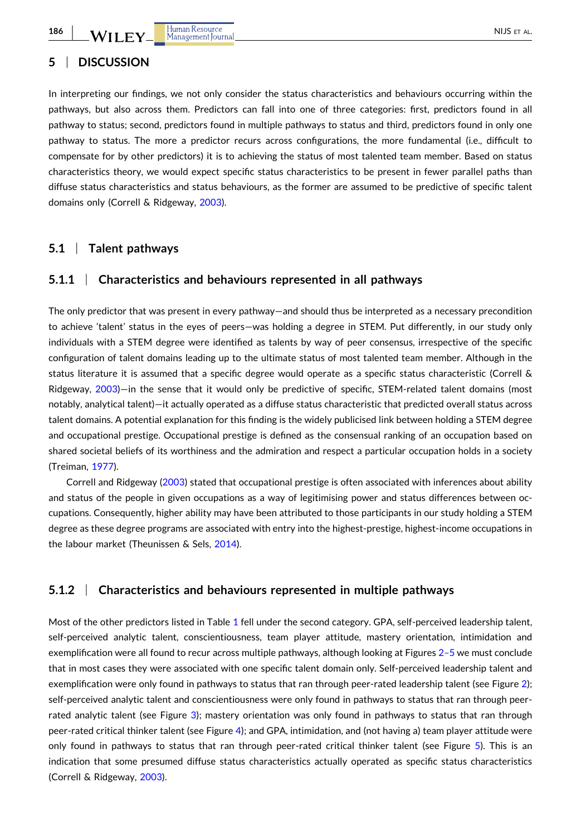# **5** <sup>|</sup> **DISCUSSION**

In interpreting our findings, we not only consider the status characteristics and behaviours occurring within the pathways, but also across them. Predictors can fall into one of three categories: first, predictors found in all pathway to status; second, predictors found in multiple pathways to status and third, predictors found in only one pathway to status. The more a predictor recurs across configurations, the more fundamental (i.e., difficult to compensate for by other predictors) it is to achieving the status of most talented team member. Based on status characteristics theory, we would expect specific status characteristics to be present in fewer parallel paths than diffuse status characteristics and status behaviours, as the former are assumed to be predictive of specific talent domains only (Correll & Ridgeway, [2003\)](#page-22-0).

# **5.1** <sup>|</sup> **Talent pathways**

## **5.1.1** <sup>|</sup> **Characteristics and behaviours represented in all pathways**

The only predictor that was present in every pathway—and should thus be interpreted as a necessary precondition to achieve 'talent' status in the eyes of peers—was holding a degree in STEM. Put differently, in our study only individuals with a STEM degree were identified as talents by way of peer consensus, irrespective of the specific configuration of talent domains leading up to the ultimate status of most talented team member. Although in the status literature it is assumed that a specific degree would operate as a specific status characteristic (Correll & Ridgeway, [2003](#page-22-0))—in the sense that it would only be predictive of specific, STEM-related talent domains (most notably, analytical talent)—it actually operated as a diffuse status characteristic that predicted overall status across talent domains. A potential explanation for this finding is the widely publicised link between holding a STEM degree and occupational prestige. Occupational prestige is defined as the consensual ranking of an occupation based on shared societal beliefs of its worthiness and the admiration and respect a particular occupation holds in a society (Treiman, [1977\)](#page-24-0).

Correll and Ridgeway ([2003](#page-22-0)) stated that occupational prestige is often associated with inferences about ability and status of the people in given occupations as a way of legitimising power and status differences between occupations. Consequently, higher ability may have been attributed to those participants in our study holding a STEM degree as these degree programs are associated with entry into the highest-prestige, highest-income occupations in the labour market (Theunissen & Sels, [2014](#page-24-0)).

# **5.1.2** <sup>|</sup> **Characteristics and behaviours represented in multiple pathways**

Most of the other predictors listed in Table [1](#page-16-0) fell under the second category. GPA, self-perceived leadership talent, self-perceived analytic talent, conscientiousness, team player attitude, mastery orientation, intimidation and exemplification were all found to recur across multiple pathways, although looking at Figures [2–5](#page-13-0) we must conclude that in most cases they were associated with one specific talent domain only. Self‐perceived leadership talent and exemplification were only found in pathways to status that ran through peer-rated leadership talent (see Figure [2\)](#page-13-0); self-perceived analytic talent and conscientiousness were only found in pathways to status that ran through peerrated analytic talent (see Figure [3\)](#page-13-0); mastery orientation was only found in pathways to status that ran through peer-rated critical thinker talent (see Figure [4](#page-14-0)); and GPA, intimidation, and (not having a) team player attitude were only found in pathways to status that ran through peer-rated critical thinker talent (see Figure [5\)](#page-15-0). This is an indication that some presumed diffuse status characteristics actually operated as specific status characteristics (Correll & Ridgeway, [2003](#page-22-0)).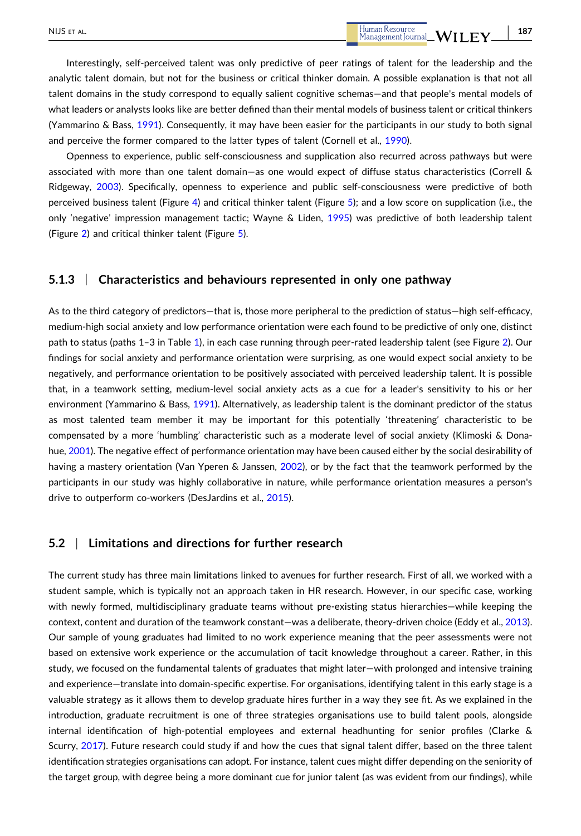Openness to experience, public self‐consciousness and supplication also recurred across pathways but were associated with more than one talent domain—as one would expect of diffuse status characteristics (Correll & Ridgeway, [2003\)](#page-22-0). Specifically, openness to experience and public self‐consciousness were predictive of both perceived business talent (Figure [4](#page-14-0)) and critical thinker talent (Figure [5\)](#page-15-0); and a low score on supplication (i.e., the only 'negative' impression management tactic; Wayne & Liden, [1995\)](#page-24-0) was predictive of both leadership talent (Figure [2\)](#page-13-0) and critical thinker talent (Figure [5](#page-15-0)).

# **5.1.3** <sup>|</sup> **Characteristics and behaviours represented in only one pathway**

As to the third category of predictors—that is, those more peripheral to the prediction of status—high self‐efficacy, medium‐high social anxiety and low performance orientation were each found to be predictive of only one, distinct path to status (paths [1](#page-16-0)–3 in Table 1), in each case running through peer-rated leadership talent (see Figure [2\)](#page-13-0). Our findings for social anxiety and performance orientation were surprising, as one would expect social anxiety to be negatively, and performance orientation to be positively associated with perceived leadership talent. It is possible that, in a teamwork setting, medium‐level social anxiety acts as a cue for a leader's sensitivity to his or her environment (Yammarino & Bass, [1991](#page-24-0)). Alternatively, as leadership talent is the dominant predictor of the status as most talented team member it may be important for this potentially 'threatening' characteristic to be compensated by a more 'humbling' characteristic such as a moderate level of social anxiety (Klimoski & Donahue, [2001\)](#page-23-0). The negative effect of performance orientation may have been caused either by the social desirability of having a mastery orientation (Van Yperen & Janssen, [2002](#page-24-0)), or by the fact that the teamwork performed by the participants in our study was highly collaborative in nature, while performance orientation measures a person's drive to outperform co‐workers (DesJardins et al., [2015](#page-22-0)).

# **5.2** <sup>|</sup> **Limitations and directions for further research**

The current study has three main limitations linked to avenues for further research. First of all, we worked with a student sample, which is typically not an approach taken in HR research. However, in our specific case, working with newly formed, multidisciplinary graduate teams without pre-existing status hierarchies—while keeping the context, content and duration of the teamwork constant—was a deliberate, theory-driven choice (Eddy et al., [2013](#page-22-0)). Our sample of young graduates had limited to no work experience meaning that the peer assessments were not based on extensive work experience or the accumulation of tacit knowledge throughout a career. Rather, in this study, we focused on the fundamental talents of graduates that might later—with prolonged and intensive training and experience—translate into domain‐specific expertise. For organisations, identifying talent in this early stage is a valuable strategy as it allows them to develop graduate hires further in a way they see fit. As we explained in the introduction, graduate recruitment is one of three strategies organisations use to build talent pools, alongside internal identification of high‐potential employees and external headhunting for senior profiles (Clarke & Scurry, [2017](#page-22-0)). Future research could study if and how the cues that signal talent differ, based on the three talent identification strategies organisations can adopt. For instance, talent cues might differ depending on the seniority of the target group, with degree being a more dominant cue for junior talent (as was evident from our findings), while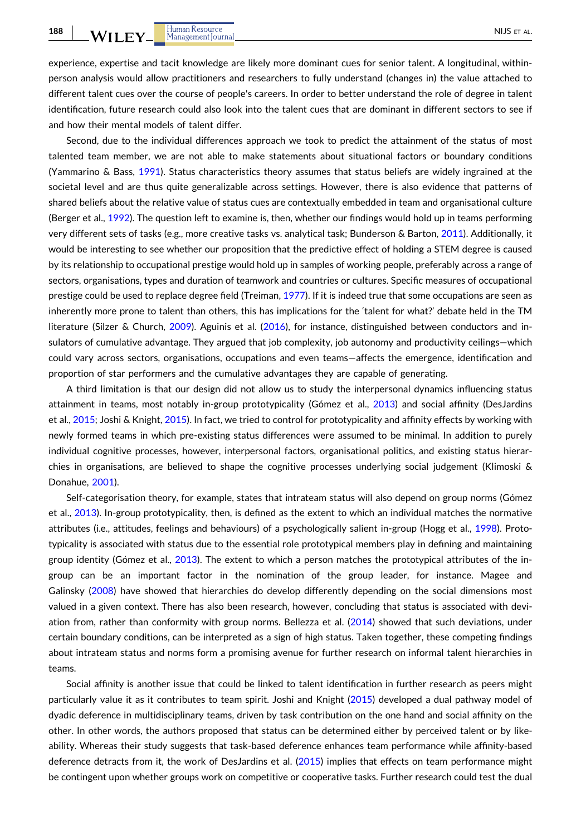experience, expertise and tacit knowledge are likely more dominant cues for senior talent. A longitudinal, withinperson analysis would allow practitioners and researchers to fully understand (changes in) the value attached to different talent cues over the course of people's careers. In order to better understand the role of degree in talent identification, future research could also look into the talent cues that are dominant in different sectors to see if and how their mental models of talent differ.

Second, due to the individual differences approach we took to predict the attainment of the status of most talented team member, we are not able to make statements about situational factors or boundary conditions (Yammarino & Bass, [1991\)](#page-24-0). Status characteristics theory assumes that status beliefs are widely ingrained at the societal level and are thus quite generalizable across settings. However, there is also evidence that patterns of shared beliefs about the relative value of status cues are contextually embedded in team and organisational culture (Berger et al., [1992](#page-22-0)). The question left to examine is, then, whether our findings would hold up in teams performing very different sets of tasks (e.g., more creative tasks vs. analytical task; Bunderson & Barton, [2011\)](#page-22-0). Additionally, it would be interesting to see whether our proposition that the predictive effect of holding a STEM degree is caused by its relationship to occupational prestige would hold up in samples of working people, preferably across a range of sectors, organisations, types and duration of teamwork and countries or cultures. Specific measures of occupational prestige could be used to replace degree field (Treiman, [1977\)](#page-24-0). If it is indeed true that some occupations are seen as inherently more prone to talent than others, this has implications for the 'talent for what?' debate held in the TM literature (Silzer & Church, [2009\)](#page-24-0). Aguinis et al. ([2016](#page-21-0)), for instance, distinguished between conductors and insulators of cumulative advantage. They argued that job complexity, job autonomy and productivity ceilings—which could vary across sectors, organisations, occupations and even teams—affects the emergence, identification and proportion of star performers and the cumulative advantages they are capable of generating.

A third limitation is that our design did not allow us to study the interpersonal dynamics influencing status attainment in teams, most notably in‐group prototypicality (Gómez et al., [2013\)](#page-23-0) and social affinity (DesJardins et al., [2015](#page-22-0); Joshi & Knight, [2015\)](#page-23-0). In fact, we tried to control for prototypicality and affinity effects by working with newly formed teams in which pre‐existing status differences were assumed to be minimal. In addition to purely individual cognitive processes, however, interpersonal factors, organisational politics, and existing status hierarchies in organisations, are believed to shape the cognitive processes underlying social judgement (Klimoski & Donahue, [2001](#page-23-0)).

Self-categorisation theory, for example, states that intrateam status will also depend on group norms (Gómez et al., [2013\)](#page-23-0). In-group prototypicality, then, is defined as the extent to which an individual matches the normative attributes (i.e., attitudes, feelings and behaviours) of a psychologically salient in‐group (Hogg et al., [1998\)](#page-23-0). Prototypicality is associated with status due to the essential role prototypical members play in defining and maintaining group identity (Gómez et al., [2013\)](#page-23-0). The extent to which a person matches the prototypical attributes of the ingroup can be an important factor in the nomination of the group leader, for instance. Magee and Galinsky [\(2008\)](#page-23-0) have showed that hierarchies do develop differently depending on the social dimensions most valued in a given context. There has also been research, however, concluding that status is associated with deviation from, rather than conformity with group norms. Bellezza et al. [\(2014\)](#page-22-0) showed that such deviations, under certain boundary conditions, can be interpreted as a sign of high status. Taken together, these competing findings about intrateam status and norms form a promising avenue for further research on informal talent hierarchies in teams.

Social affinity is another issue that could be linked to talent identification in further research as peers might particularly value it as it contributes to team spirit. Joshi and Knight [\(2015\)](#page-23-0) developed a dual pathway model of dyadic deference in multidisciplinary teams, driven by task contribution on the one hand and social affinity on the other. In other words, the authors proposed that status can be determined either by perceived talent or by likeability. Whereas their study suggests that task‐based deference enhances team performance while affinity‐based deference detracts from it, the work of DesJardins et al. [\(2015\)](#page-22-0) implies that effects on team performance might be contingent upon whether groups work on competitive or cooperative tasks. Further research could test the dual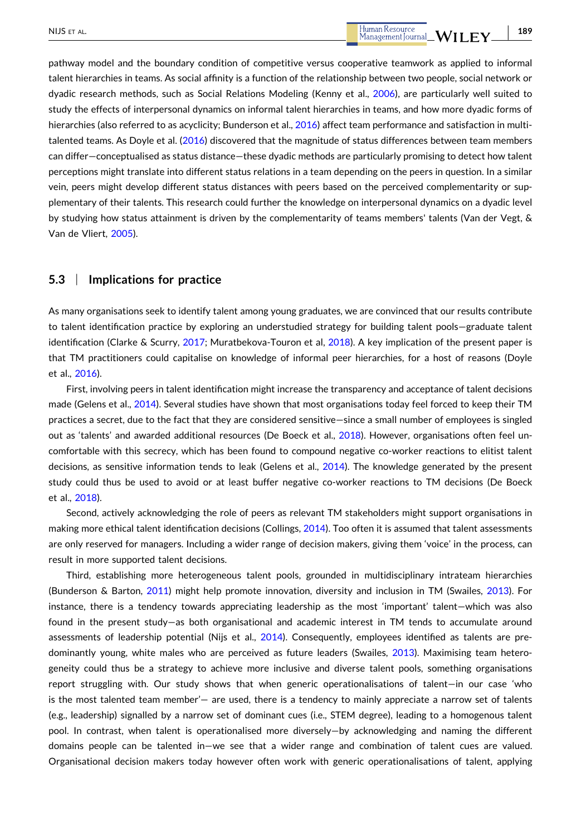pathway model and the boundary condition of competitive versus cooperative teamwork as applied to informal talent hierarchies in teams. As social affinity is a function of the relationship between two people, social network or dyadic research methods, such as Social Relations Modeling (Kenny et al., [2006\)](#page-23-0), are particularly well suited to study the effects of interpersonal dynamics on informal talent hierarchies in teams, and how more dyadic forms of hierarchies (also referred to as acyclicity; Bunderson et al., [2016\)](#page-22-0) affect team performance and satisfaction in multitalented teams. As Doyle et al. [\(2016\)](#page-22-0) discovered that the magnitude of status differences between team members can differ—conceptualised as status distance—these dyadic methods are particularly promising to detect how talent perceptions might translate into different status relations in a team depending on the peers in question. In a similar vein, peers might develop different status distances with peers based on the perceived complementarity or supplementary of their talents. This research could further the knowledge on interpersonal dynamics on a dyadic level by studying how status attainment is driven by the complementarity of teams members' talents (Van der Vegt, & Van de Vliert, [2005](#page-24-0)).

# **5.3** <sup>|</sup> **Implications for practice**

As many organisations seek to identify talent among young graduates, we are convinced that our results contribute to talent identification practice by exploring an understudied strategy for building talent pools—graduate talent identification (Clarke & Scurry, [2017;](#page-22-0) Muratbekova‐Touron et al, [2018](#page-24-0)). A key implication of the present paper is that TM practitioners could capitalise on knowledge of informal peer hierarchies, for a host of reasons (Doyle et al., [2016\)](#page-22-0).

First, involving peers in talent identification might increase the transparency and acceptance of talent decisions made (Gelens et al., [2014](#page-23-0)). Several studies have shown that most organisations today feel forced to keep their TM practices a secret, due to the fact that they are considered sensitive—since a small number of employees is singled out as 'talents' and awarded additional resources (De Boeck et al., [2018](#page-22-0)). However, organisations often feel uncomfortable with this secrecy, which has been found to compound negative co‐worker reactions to elitist talent decisions, as sensitive information tends to leak (Gelens et al., [2014\)](#page-23-0). The knowledge generated by the present study could thus be used to avoid or at least buffer negative co-worker reactions to TM decisions (De Boeck et al., [2018\)](#page-22-0).

Second, actively acknowledging the role of peers as relevant TM stakeholders might support organisations in making more ethical talent identification decisions (Collings, [2014\)](#page-22-0). Too often it is assumed that talent assessments are only reserved for managers. Including a wider range of decision makers, giving them 'voice' in the process, can result in more supported talent decisions.

Third, establishing more heterogeneous talent pools, grounded in multidisciplinary intrateam hierarchies (Bunderson & Barton, [2011\)](#page-22-0) might help promote innovation, diversity and inclusion in TM (Swailes, [2013\)](#page-24-0). For instance, there is a tendency towards appreciating leadership as the most 'important' talent—which was also found in the present study—as both organisational and academic interest in TM tends to accumulate around assessments of leadership potential (Nijs et al., [2014\)](#page-24-0). Consequently, employees identified as talents are predominantly young, white males who are perceived as future leaders (Swailes, [2013\)](#page-24-0). Maximising team heterogeneity could thus be a strategy to achieve more inclusive and diverse talent pools, something organisations report struggling with. Our study shows that when generic operationalisations of talent—in our case 'who is the most talented team member'— are used, there is a tendency to mainly appreciate a narrow set of talents (e.g., leadership) signalled by a narrow set of dominant cues (i.e., STEM degree), leading to a homogenous talent pool. In contrast, when talent is operationalised more diversely—by acknowledging and naming the different domains people can be talented in—we see that a wider range and combination of talent cues are valued. Organisational decision makers today however often work with generic operationalisations of talent, applying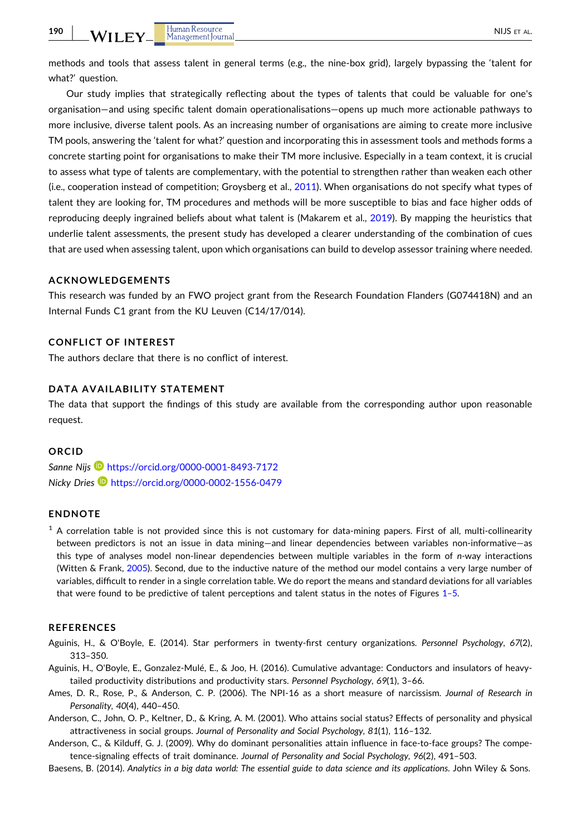<span id="page-21-0"></span>methods and tools that assess talent in general terms (e.g., the nine‐box grid), largely bypassing the 'talent for what?' question.

Our study implies that strategically reflecting about the types of talents that could be valuable for one's organisation—and using specific talent domain operationalisations—opens up much more actionable pathways to more inclusive, diverse talent pools. As an increasing number of organisations are aiming to create more inclusive TM pools, answering the 'talent for what?' question and incorporating this in assessment tools and methods forms a concrete starting point for organisations to make their TM more inclusive. Especially in a team context, it is crucial to assess what type of talents are complementary, with the potential to strengthen rather than weaken each other (i.e., cooperation instead of competition; Groysberg et al., [2011](#page-23-0)). When organisations do not specify what types of talent they are looking for, TM procedures and methods will be more susceptible to bias and face higher odds of reproducing deeply ingrained beliefs about what talent is (Makarem et al., [2019](#page-23-0)). By mapping the heuristics that underlie talent assessments, the present study has developed a clearer understanding of the combination of cues that are used when assessing talent, upon which organisations can build to develop assessor training where needed.

## **ACKNOWLEDGEMENTS**

This research was funded by an FWO project grant from the Research Foundation Flanders (G074418N) and an Internal Funds C1 grant from the KU Leuven (C14/17/014).

#### **CONFLICT OF INTEREST**

The authors declare that there is no conflict of interest.

# **DATA AVAILABILITY STATEMENT**

The data that support the findings of this study are available from the corresponding author upon reasonable request.

#### **ORCID**

*Sanne Nijs* <https://orcid.org/0000-0001-8493-7172> *Nicky Dries* <https://orcid.org/0000-0002-1556-0479>

#### **ENDNOTE**

 $1$  A correlation table is not provided since this is not customary for data-mining papers. First of all, multi-collinearity between predictors is not an issue in data mining—and linear dependencies between variables non‐informative—as this type of analyses model non‐linear dependencies between multiple variables in the form of *n‐*way interactions (Witten & Frank, [2005](#page-24-0)). Second, due to the inductive nature of the method our model contains a very large number of variables, difficult to render in a single correlation table. We do report the means and standard deviations for all variables that were found to be predictive of talent perceptions and talent status in the notes of Figures [1–5.](#page-12-0)

#### **REFERENCES**

- Aguinis, H., & O'Boyle, E. (2014). Star performers in twenty‐first century organizations. *Personnel Psychology*, *67*(2), 313–350.
- Aguinis, H., O'Boyle, E., Gonzalez‐Mulé, E., & Joo, H. (2016). Cumulative advantage: Conductors and insulators of heavy‐ tailed productivity distributions and productivity stars. *Personnel Psychology*, *69*(1), 3–66.
- Ames, D. R., Rose, P., & Anderson, C. P. (2006). The NPI‐16 as a short measure of narcissism. *Journal of Research in Personality*, *40*(4), 440–450.
- Anderson, C., John, O. P., Keltner, D., & Kring, A. M. (2001). Who attains social status? Effects of personality and physical attractiveness in social groups. *Journal of Personality and Social Psychology*, *81*(1), 116–132.
- Anderson, C., & Kilduff, G. J. (2009). Why do dominant personalities attain influence in face-to-face groups? The competence‐signaling effects of trait dominance. *Journal of Personality and Social Psychology*, *96*(2), 491–503.
- Baesens, B. (2014). Analytics in a big data world: The essential guide to data science and its applications. John Wiley & Sons.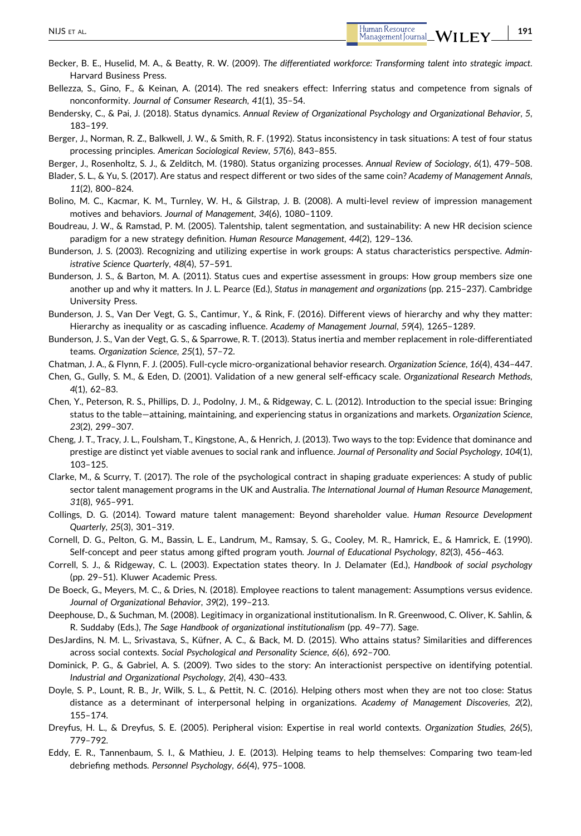- <span id="page-22-0"></span>Bellezza, S., Gino, F., & Keinan, A. (2014). The red sneakers effect: Inferring status and competence from signals of nonconformity. *Journal of Consumer Research*, *41*(1), 35–54.
- Bendersky, C., & Pai, J. (2018). Status dynamics. *Annual Review of Organizational Psychology and Organizational Behavior*, *5*, 183–199.
- Berger, J., Norman, R. Z., Balkwell, J. W., & Smith, R. F. (1992). Status inconsistency in task situations: A test of four status processing principles. *American Sociological Review*, *57*(6), 843–855.
- Berger, J., Rosenholtz, S. J., & Zelditch, M. (1980). Status organizing processes. *Annual Review of Sociology*, *6*(1), 479–508.
- Blader, S. L., & Yu, S. (2017). Are status and respect different or two sides of the same coin? *Academy of Management Annals*, *11*(2), 800–824.
- Bolino, M. C., Kacmar, K. M., Turnley, W. H., & Gilstrap, J. B. (2008). A multi-level review of impression management motives and behaviors. *Journal of Management*, *34*(6), 1080–1109.
- Boudreau, J. W., & Ramstad, P. M. (2005). Talentship, talent segmentation, and sustainability: A new HR decision science paradigm for a new strategy definition. *Human Resource Management*, *44*(2), 129–136.
- Bunderson, J. S. (2003). Recognizing and utilizing expertise in work groups: A status characteristics perspective. *Administrative Science Quarterly*, *48*(4), 57–591.
- Bunderson, J. S., & Barton, M. A. (2011). Status cues and expertise assessment in groups: How group members size one another up and why it matters. In J. L. Pearce (Ed.), *Status in management and organizations* (pp. 215–237). Cambridge University Press.
- Bunderson, J. S., Van Der Vegt, G. S., Cantimur, Y., & Rink, F. (2016). Different views of hierarchy and why they matter: Hierarchy as inequality or as cascading influence. *Academy of Management Journal*, *59*(4), 1265–1289.
- Bunderson, J. S., Van der Vegt, G. S., & Sparrowe, R. T. (2013). Status inertia and member replacement in role‐differentiated teams. *Organization Science*, *25*(1), 57–72.
- Chatman, J. A., & Flynn, F. J. (2005). Full‐cycle micro‐organizational behavior research. *Organization Science*, *16*(4), 434–447.
- Chen, G., Gully, S. M., & Eden, D. (2001). Validation of a new general self‐efficacy scale. *Organizational Research Methods*, *4*(1), 62–83.
- Chen, Y., Peterson, R. S., Phillips, D. J., Podolny, J. M., & Ridgeway, C. L. (2012). Introduction to the special issue: Bringing status to the table—attaining, maintaining, and experiencing status in organizations and markets. *Organization Science*, *23*(2), 299–307.
- Cheng, J. T., Tracy, J. L., Foulsham, T., Kingstone, A., & Henrich, J. (2013). Two ways to the top: Evidence that dominance and prestige are distinct yet viable avenues to social rank and influence. *Journal of Personality and Social Psychology*, *104*(1), 103–125.
- Clarke, M., & Scurry, T. (2017). The role of the psychological contract in shaping graduate experiences: A study of public sector talent management programs in the UK and Australia. *The International Journal of Human Resource Management*, *31*(8), 965–991.
- Collings, D. G. (2014). Toward mature talent management: Beyond shareholder value. *Human Resource Development Quarterly*, *25*(3), 301–319.
- Cornell, D. G., Pelton, G. M., Bassin, L. E., Landrum, M., Ramsay, S. G., Cooley, M. R., Hamrick, E., & Hamrick, E. (1990). Self‐concept and peer status among gifted program youth. *Journal of Educational Psychology*, *82*(3), 456–463.
- Correll, S. J., & Ridgeway, C. L. (2003). Expectation states theory. In J. Delamater (Ed.), *Handbook of social psychology* (pp. 29–51). Kluwer Academic Press.
- De Boeck, G., Meyers, M. C., & Dries, N. (2018). Employee reactions to talent management: Assumptions versus evidence. *Journal of Organizational Behavior*, *39*(2), 199–213.
- Deephouse, D., & Suchman, M. (2008). Legitimacy in organizational institutionalism. In R. Greenwood, C. Oliver, K. Sahlin, & R. Suddaby (Eds.), *The Sage Handbook of organizational institutionalism* (pp. 49–77). Sage.
- DesJardins, N. M. L., Srivastava, S., Küfner, A. C., & Back, M. D. (2015). Who attains status? Similarities and differences across social contexts. *Social Psychological and Personality Science*, *6*(6), 692–700.
- Dominick, P. G., & Gabriel, A. S. (2009). Two sides to the story: An interactionist perspective on identifying potential. *Industrial and Organizational Psychology*, *2*(4), 430–433.
- Doyle, S. P., Lount, R. B., Jr, Wilk, S. L., & Pettit, N. C. (2016). Helping others most when they are not too close: Status distance as a determinant of interpersonal helping in organizations. *Academy of Management Discoveries*, *2*(2), 155–174.
- Dreyfus, H. L., & Dreyfus, S. E. (2005). Peripheral vision: Expertise in real world contexts. *Organization Studies*, *26*(5), 779–792.
- Eddy, E. R., Tannenbaum, S. I., & Mathieu, J. E. (2013). Helping teams to help themselves: Comparing two team‐led debriefing methods. *Personnel Psychology*, *66*(4), 975–1008.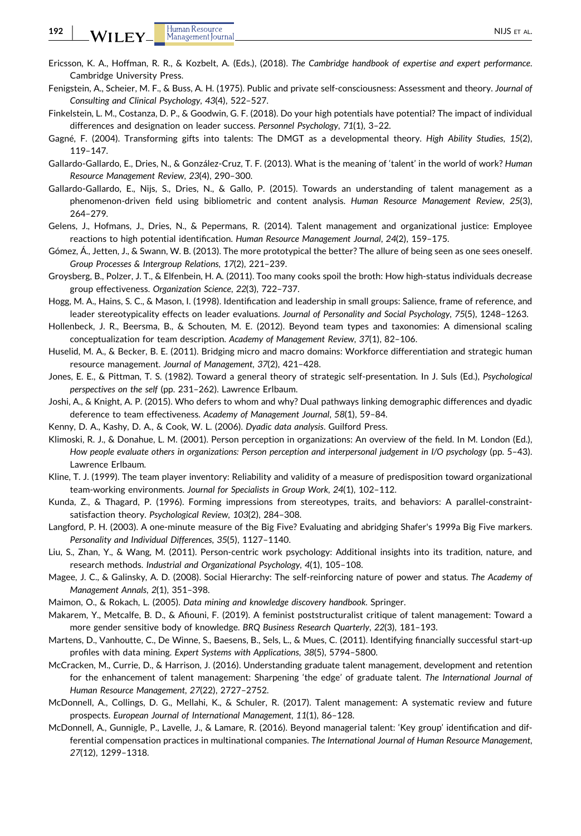<span id="page-23-0"></span>**192**

- Ericsson, K. A., Hoffman, R. R., & Kozbelt, A. (Eds.), (2018). *The Cambridge handbook of expertise and expert performance*. Cambridge University Press.
- Fenigstein, A., Scheier, M. F., & Buss, A. H. (1975). Public and private self‐consciousness: Assessment and theory. *Journal of Consulting and Clinical Psychology*, *43*(4), 522–527.
- Finkelstein, L. M., Costanza, D. P., & Goodwin, G. F. (2018). Do your high potentials have potential? The impact of individual differences and designation on leader success. *Personnel Psychology*, *71*(1), 3–22.
- Gagné, F. (2004). Transforming gifts into talents: The DMGT as a developmental theory. *High Ability Studies*, *15*(2), 119–147.
- Gallardo‐Gallardo, E., Dries, N., & González‐Cruz, T. F. (2013). What is the meaning of 'talent' in the world of work? *Human Resource Management Review*, *23*(4), 290–300.
- Gallardo‐Gallardo, E., Nijs, S., Dries, N., & Gallo, P. (2015). Towards an understanding of talent management as a phenomenon‐driven field using bibliometric and content analysis. *Human Resource Management Review*, *25*(3), 264–279.
- Gelens, J., Hofmans, J., Dries, N., & Pepermans, R. (2014). Talent management and organizational justice: Employee reactions to high potential identification. *Human Resource Management Journal*, *24*(2), 159–175.
- Gómez, Á., Jetten, J., & Swann, W. B. (2013). The more prototypical the better? The allure of being seen as one sees oneself. *Group Processes & Intergroup Relations*, *17*(2), 221–239.
- Groysberg, B., Polzer, J. T., & Elfenbein, H. A. (2011). Too many cooks spoil the broth: How high‐status individuals decrease group effectiveness. *Organization Science*, *22*(3), 722–737.
- Hogg, M. A., Hains, S. C., & Mason, I. (1998). Identification and leadership in small groups: Salience, frame of reference, and leader stereotypicality effects on leader evaluations. *Journal of Personality and Social Psychology*, *75*(5), 1248–1263.
- Hollenbeck, J. R., Beersma, B., & Schouten, M. E. (2012). Beyond team types and taxonomies: A dimensional scaling conceptualization for team description. *Academy of Management Review*, *37*(1), 82–106.
- Huselid, M. A., & Becker, B. E. (2011). Bridging micro and macro domains: Workforce differentiation and strategic human resource management. *Journal of Management*, *37*(2), 421–428.
- Jones, E. E., & Pittman, T. S. (1982). Toward a general theory of strategic self‐presentation. In J. Suls (Ed.), *Psychological perspectives on the self* (pp. 231–262). Lawrence Erlbaum.
- Joshi, A., & Knight, A. P. (2015). Who defers to whom and why? Dual pathways linking demographic differences and dyadic deference to team effectiveness. *Academy of Management Journal*, *58*(1), 59–84.
- Kenny, D. A., Kashy, D. A., & Cook, W. L. (2006). *Dyadic data analysis*. Guilford Press.
- Klimoski, R. J., & Donahue, L. M. (2001). Person perception in organizations: An overview of the field. In M. London (Ed.), *How people evaluate others in organizations: Person perception and interpersonal judgement in I/O psychology* (pp. 5–43). Lawrence Erlbaum.
- Kline, T. J. (1999). The team player inventory: Reliability and validity of a measure of predisposition toward organizational team‐working environments. *Journal for Specialists in Group Work*, *24*(1), 102–112.
- Kunda, Z., & Thagard, P. (1996). Forming impressions from stereotypes, traits, and behaviors: A parallel‐constraint‐ satisfaction theory. *Psychological Review*, *103*(2), 284–308.
- Langford, P. H. (2003). A one‐minute measure of the Big Five? Evaluating and abridging Shafer's 1999a Big Five markers. *Personality and Individual Differences*, *35*(5), 1127–1140.
- Liu, S., Zhan, Y., & Wang, M. (2011). Person-centric work psychology: Additional insights into its tradition, nature, and research methods. *Industrial and Organizational Psychology*, *4*(1), 105–108.
- Magee, J. C., & Galinsky, A. D. (2008). Social Hierarchy: The self‐reinforcing nature of power and status. *The Academy of Management Annals*, *2*(1), 351–398.
- Maimon, O., & Rokach, L. (2005). *Data mining and knowledge discovery handbook*. Springer.
- Makarem, Y., Metcalfe, B. D., & Afiouni, F. (2019). A feminist poststructuralist critique of talent management: Toward a more gender sensitive body of knowledge. *BRQ Business Research Quarterly*, *22*(3), 181–193.
- Martens, D., Vanhoutte, C., De Winne, S., Baesens, B., Sels, L., & Mues, C. (2011). Identifying financially successful start‐up profiles with data mining. *Expert Systems with Applications*, *38*(5), 5794–5800.
- McCracken, M., Currie, D., & Harrison, J. (2016). Understanding graduate talent management, development and retention for the enhancement of talent management: Sharpening 'the edge' of graduate talent. *The International Journal of Human Resource Management*, *27*(22), 2727–2752.
- McDonnell, A., Collings, D. G., Mellahi, K., & Schuler, R. (2017). Talent management: A systematic review and future prospects. *European Journal of International Management*, *11*(1), 86–128.
- McDonnell, A., Gunnigle, P., Lavelle, J., & Lamare, R. (2016). Beyond managerial talent: 'Key group' identification and differential compensation practices in multinational companies. *The International Journal of Human Resource Management*, *27*(12), 1299–1318.